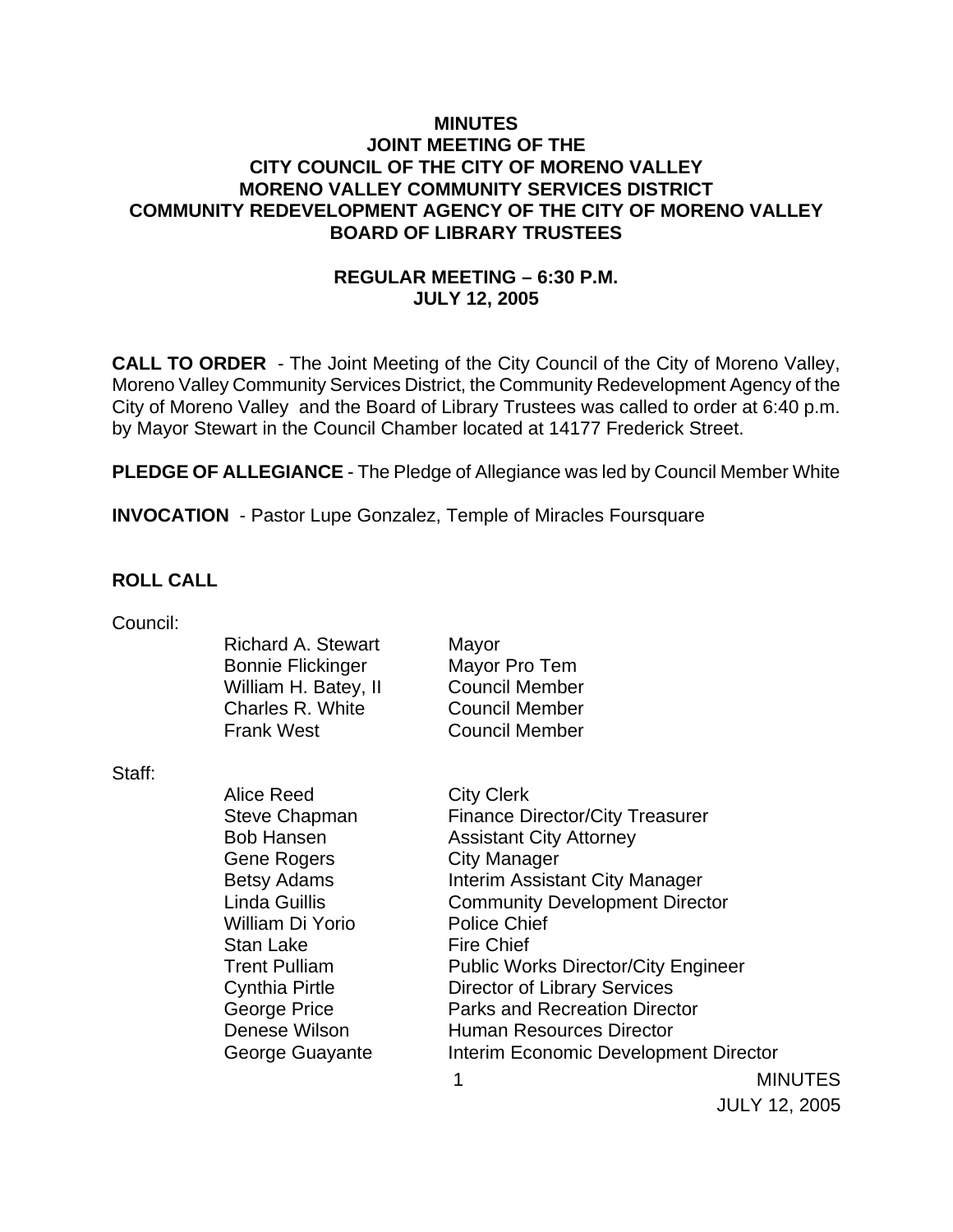### **MINUTES JOINT MEETING OF THE CITY COUNCIL OF THE CITY OF MORENO VALLEY MORENO VALLEY COMMUNITY SERVICES DISTRICT COMMUNITY REDEVELOPMENT AGENCY OF THE CITY OF MORENO VALLEY BOARD OF LIBRARY TRUSTEES**

# **REGULAR MEETING – 6:30 P.M. JULY 12, 2005**

**CALL TO ORDER** - The Joint Meeting of the City Council of the City of Moreno Valley, Moreno Valley Community Services District, the Community Redevelopment Agency of the City of Moreno Valley and the Board of Library Trustees was called to order at 6:40 p.m. by Mayor Stewart in the Council Chamber located at 14177 Frederick Street.

**PLEDGE OF ALLEGIANCE** - The Pledge of Allegiance was led by Council Member White

**INVOCATION** - Pastor Lupe Gonzalez, Temple of Miracles Foursquare

### **ROLL CALL**

| Council: |  |
|----------|--|
|          |  |

| Mayor                 |
|-----------------------|
| Mayor Pro Tem         |
| <b>Council Member</b> |
| <b>Council Member</b> |
| <b>Council Member</b> |
|                       |

Staff:

1 MINUTES Alice Reed City Clerk Steve Chapman Finance Director/City Treasurer Bob Hansen **Assistant City Attorney** Gene Rogers City Manager Betsy Adams **Interim Assistant City Manager** Linda Guillis Community Development Director William Di Yorio Police Chief Stan Lake Fire Chief Trent Pulliam Public Works Director/City Engineer Cynthia Pirtle Director of Library Services George Price **Parks and Recreation Director** Denese Wilson **Human Resources Director** George Guayante **Interim Economic Development Director** 

JULY 12, 2005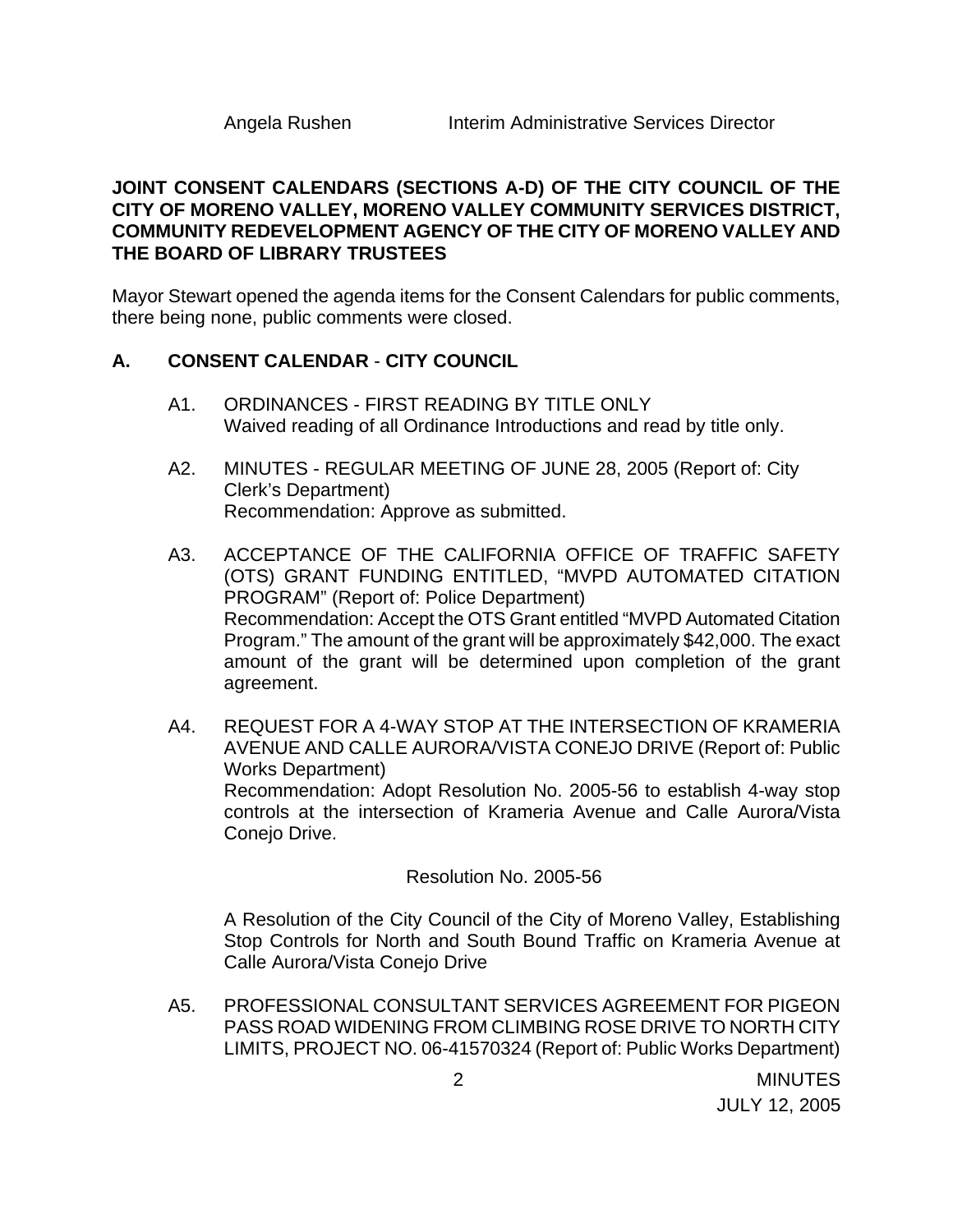### **JOINT CONSENT CALENDARS (SECTIONS A-D) OF THE CITY COUNCIL OF THE CITY OF MORENO VALLEY, MORENO VALLEY COMMUNITY SERVICES DISTRICT, COMMUNITY REDEVELOPMENT AGENCY OF THE CITY OF MORENO VALLEY AND THE BOARD OF LIBRARY TRUSTEES**

Mayor Stewart opened the agenda items for the Consent Calendars for public comments, there being none, public comments were closed.

### **A. CONSENT CALENDAR** - **CITY COUNCIL**

- A1. ORDINANCES FIRST READING BY TITLE ONLY Waived reading of all Ordinance Introductions and read by title only.
- A2. MINUTES REGULAR MEETING OF JUNE 28, 2005 (Report of: City Clerk's Department) Recommendation: Approve as submitted.
- A3. ACCEPTANCE OF THE CALIFORNIA OFFICE OF TRAFFIC SAFETY (OTS) GRANT FUNDING ENTITLED, "MVPD AUTOMATED CITATION PROGRAM" (Report of: Police Department) Recommendation: Accept the OTS Grant entitled "MVPD Automated Citation Program." The amount of the grant will be approximately \$42,000. The exact amount of the grant will be determined upon completion of the grant agreement.
- A4. REQUEST FOR A 4-WAY STOP AT THE INTERSECTION OF KRAMERIA AVENUE AND CALLE AURORA/VISTA CONEJO DRIVE (Report of: Public Works Department) Recommendation: Adopt Resolution No. 2005-56 to establish 4-way stop controls at the intersection of Krameria Avenue and Calle Aurora/Vista Conejo Drive.

### Resolution No. 2005-56

 A Resolution of the City Council of the City of Moreno Valley, Establishing Stop Controls for North and South Bound Traffic on Krameria Avenue at Calle Aurora/Vista Conejo Drive

A5. PROFESSIONAL CONSULTANT SERVICES AGREEMENT FOR PIGEON PASS ROAD WIDENING FROM CLIMBING ROSE DRIVE TO NORTH CITY LIMITS, PROJECT NO. 06-41570324 (Report of: Public Works Department)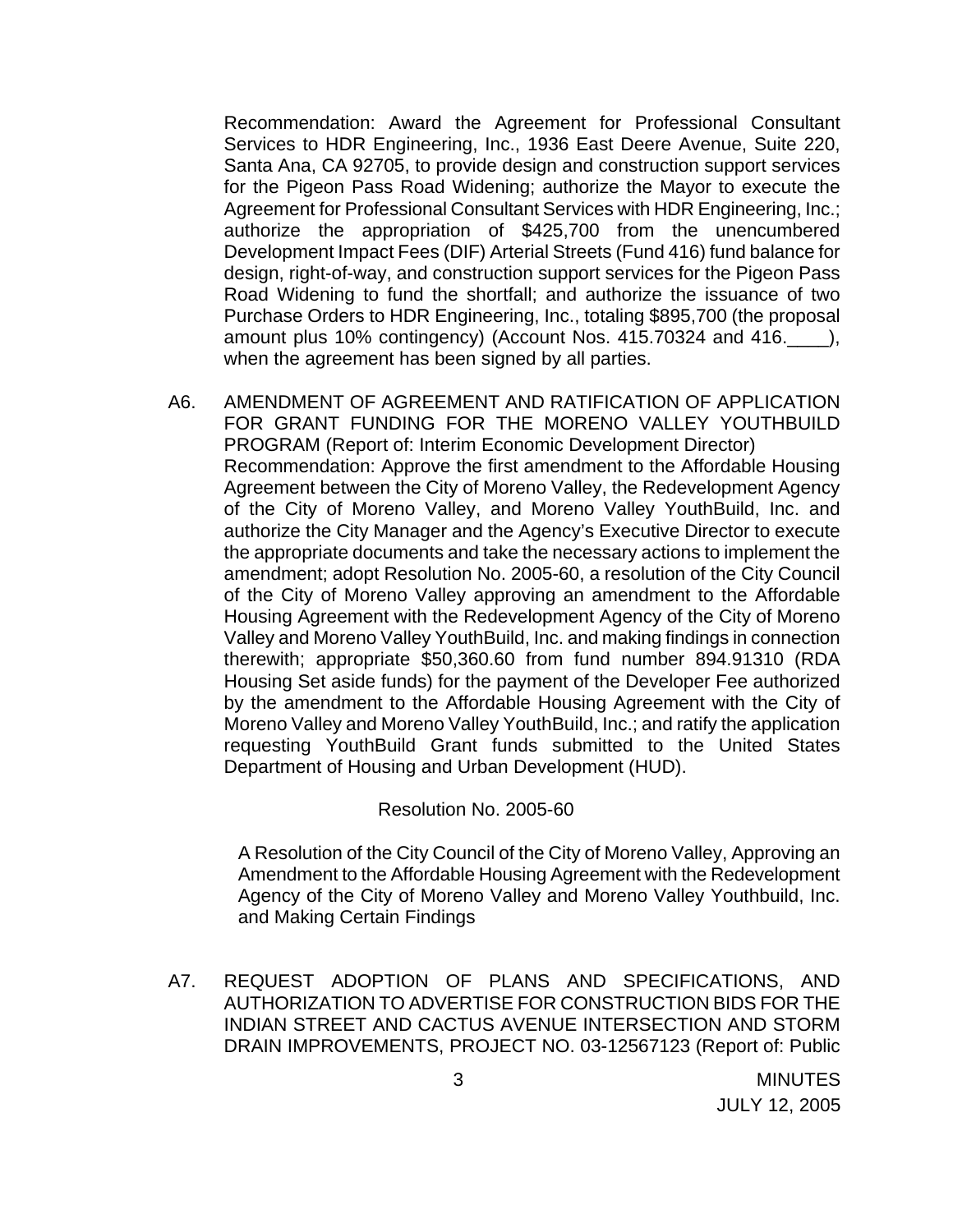Recommendation: Award the Agreement for Professional Consultant Services to HDR Engineering, Inc., 1936 East Deere Avenue, Suite 220, Santa Ana, CA 92705, to provide design and construction support services for the Pigeon Pass Road Widening; authorize the Mayor to execute the Agreement for Professional Consultant Services with HDR Engineering, Inc.; authorize the appropriation of \$425,700 from the unencumbered Development Impact Fees (DIF) Arterial Streets (Fund 416) fund balance for design, right-of-way, and construction support services for the Pigeon Pass Road Widening to fund the shortfall; and authorize the issuance of two Purchase Orders to HDR Engineering, Inc., totaling \$895,700 (the proposal amount plus 10% contingency) (Account Nos. 415.70324 and 416.\_\_\_\_), when the agreement has been signed by all parties.

A6. AMENDMENT OF AGREEMENT AND RATIFICATION OF APPLICATION FOR GRANT FUNDING FOR THE MORENO VALLEY YOUTHBUILD PROGRAM (Report of: Interim Economic Development Director) Recommendation: Approve the first amendment to the Affordable Housing Agreement between the City of Moreno Valley, the Redevelopment Agency of the City of Moreno Valley, and Moreno Valley YouthBuild, Inc. and authorize the City Manager and the Agency's Executive Director to execute the appropriate documents and take the necessary actions to implement the amendment; adopt Resolution No. 2005-60, a resolution of the City Council of the City of Moreno Valley approving an amendment to the Affordable Housing Agreement with the Redevelopment Agency of the City of Moreno Valley and Moreno Valley YouthBuild, Inc. and making findings in connection therewith; appropriate \$50,360.60 from fund number 894.91310 (RDA Housing Set aside funds) for the payment of the Developer Fee authorized by the amendment to the Affordable Housing Agreement with the City of Moreno Valley and Moreno Valley YouthBuild, Inc.; and ratify the application requesting YouthBuild Grant funds submitted to the United States Department of Housing and Urban Development (HUD).

### Resolution No. 2005-60

 A Resolution of the City Council of the City of Moreno Valley, Approving an Amendment to the Affordable Housing Agreement with the Redevelopment Agency of the City of Moreno Valley and Moreno Valley Youthbuild, Inc. and Making Certain Findings

A7. REQUEST ADOPTION OF PLANS AND SPECIFICATIONS, AND AUTHORIZATION TO ADVERTISE FOR CONSTRUCTION BIDS FOR THE INDIAN STREET AND CACTUS AVENUE INTERSECTION AND STORM DRAIN IMPROVEMENTS, PROJECT NO. 03-12567123 (Report of: Public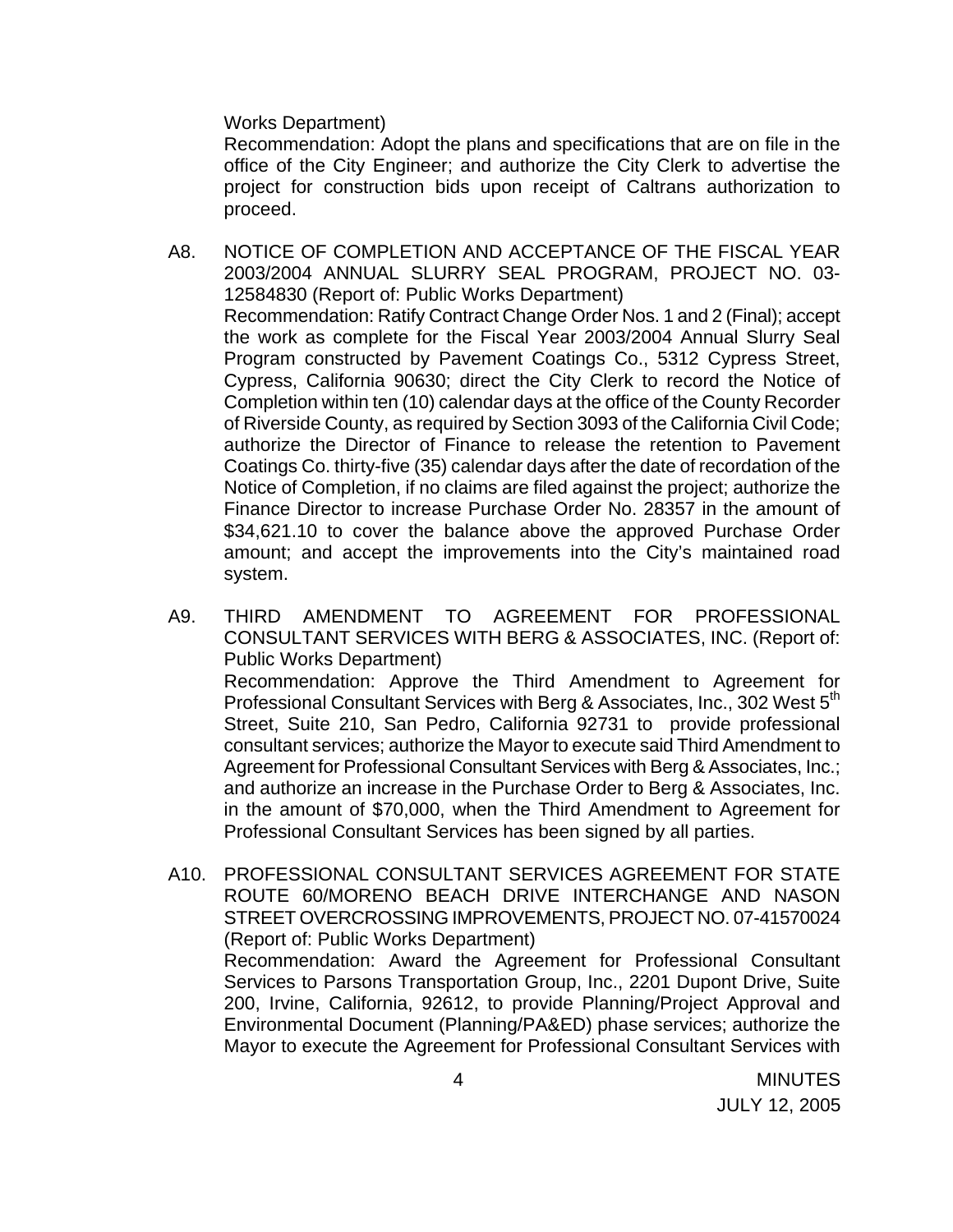Works Department)

 Recommendation: Adopt the plans and specifications that are on file in the office of the City Engineer; and authorize the City Clerk to advertise the project for construction bids upon receipt of Caltrans authorization to proceed.

A8. NOTICE OF COMPLETION AND ACCEPTANCE OF THE FISCAL YEAR 2003/2004 ANNUAL SLURRY SEAL PROGRAM, PROJECT NO. 03- 12584830 (Report of: Public Works Department) Recommendation: Ratify Contract Change Order Nos. 1 and 2 (Final); accept the work as complete for the Fiscal Year 2003/2004 Annual Slurry Seal Program constructed by Pavement Coatings Co., 5312 Cypress Street, Cypress, California 90630; direct the City Clerk to record the Notice of Completion within ten (10) calendar days at the office of the County Recorder of Riverside County, as required by Section 3093 of the California Civil Code; authorize the Director of Finance to release the retention to Pavement Coatings Co. thirty-five (35) calendar days after the date of recordation of the Notice of Completion, if no claims are filed against the project; authorize the Finance Director to increase Purchase Order No. 28357 in the amount of \$34,621.10 to cover the balance above the approved Purchase Order amount; and accept the improvements into the City's maintained road system.

A9. THIRD AMENDMENT TO AGREEMENT FOR PROFESSIONAL CONSULTANT SERVICES WITH BERG & ASSOCIATES, INC. (Report of: Public Works Department) Recommendation: Approve the Third Amendment to Agreement for Professional Consultant Services with Berg & Associates, Inc., 302 West 5<sup>th</sup> Street, Suite 210, San Pedro, California 92731 to provide professional consultant services; authorize the Mayor to execute said Third Amendment to Agreement for Professional Consultant Services with Berg & Associates, Inc.; and authorize an increase in the Purchase Order to Berg & Associates, Inc. in the amount of \$70,000, when the Third Amendment to Agreement for Professional Consultant Services has been signed by all parties.

A10. PROFESSIONAL CONSULTANT SERVICES AGREEMENT FOR STATE ROUTE 60/MORENO BEACH DRIVE INTERCHANGE AND NASON STREET OVERCROSSING IMPROVEMENTS, PROJECT NO. 07-41570024 (Report of: Public Works Department)

 Recommendation: Award the Agreement for Professional Consultant Services to Parsons Transportation Group, Inc., 2201 Dupont Drive, Suite 200, Irvine, California, 92612, to provide Planning/Project Approval and Environmental Document (Planning/PA&ED) phase services; authorize the Mayor to execute the Agreement for Professional Consultant Services with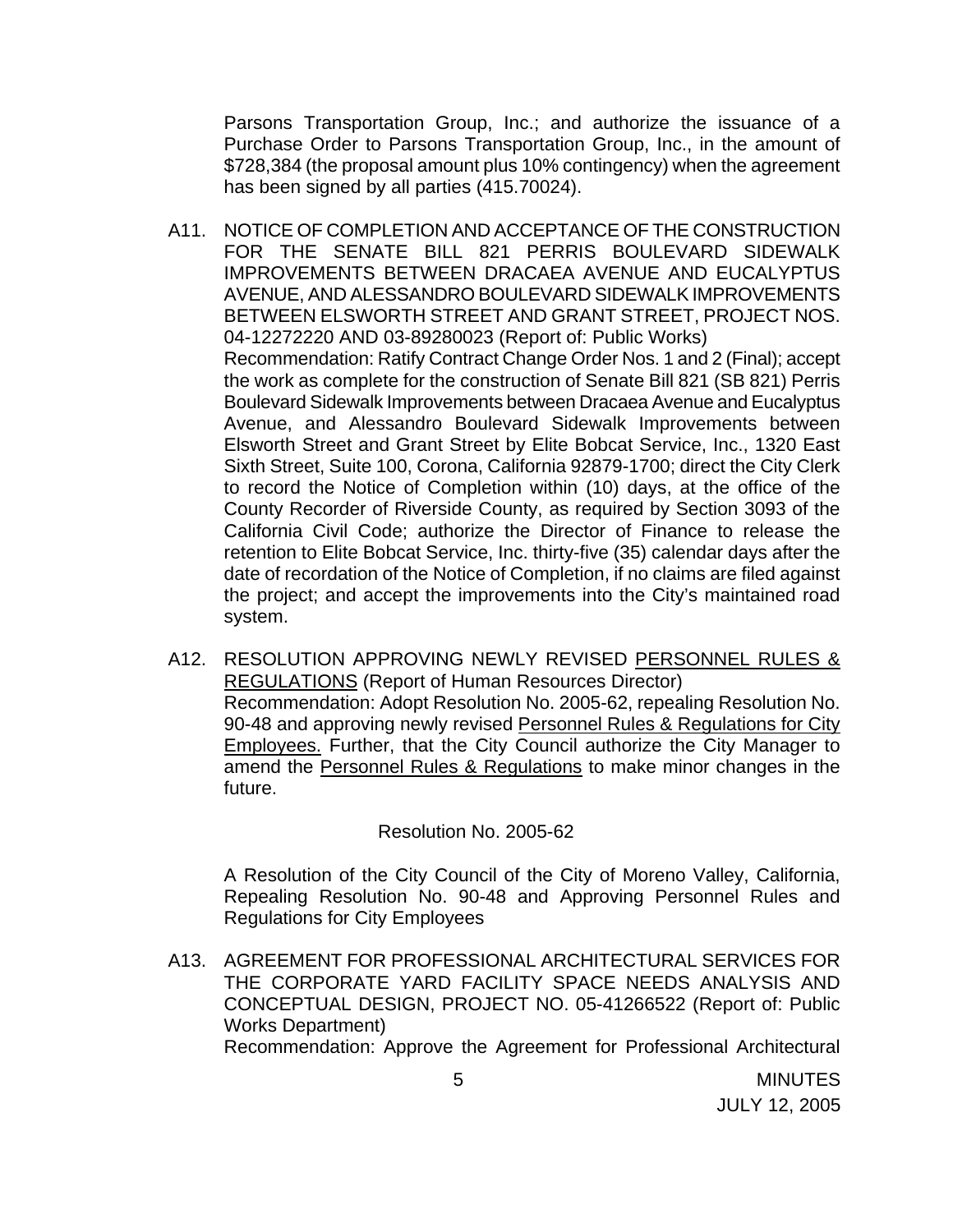Parsons Transportation Group, Inc.; and authorize the issuance of a Purchase Order to Parsons Transportation Group, Inc., in the amount of \$728,384 (the proposal amount plus 10% contingency) when the agreement has been signed by all parties (415.70024).

- A11. NOTICE OF COMPLETION AND ACCEPTANCE OF THE CONSTRUCTION FOR THE SENATE BILL 821 PERRIS BOULEVARD SIDEWALK IMPROVEMENTS BETWEEN DRACAEA AVENUE AND EUCALYPTUS AVENUE, AND ALESSANDRO BOULEVARD SIDEWALK IMPROVEMENTS BETWEEN ELSWORTH STREET AND GRANT STREET, PROJECT NOS. 04-12272220 AND 03-89280023 (Report of: Public Works) Recommendation: Ratify Contract Change Order Nos. 1 and 2 (Final); accept the work as complete for the construction of Senate Bill 821 (SB 821) Perris Boulevard Sidewalk Improvements between Dracaea Avenue and Eucalyptus Avenue, and Alessandro Boulevard Sidewalk Improvements between Elsworth Street and Grant Street by Elite Bobcat Service, Inc., 1320 East Sixth Street, Suite 100, Corona, California 92879-1700; direct the City Clerk to record the Notice of Completion within (10) days, at the office of the County Recorder of Riverside County, as required by Section 3093 of the California Civil Code; authorize the Director of Finance to release the retention to Elite Bobcat Service, Inc. thirty-five (35) calendar days after the date of recordation of the Notice of Completion, if no claims are filed against the project; and accept the improvements into the City's maintained road system.
- A12. RESOLUTION APPROVING NEWLY REVISED PERSONNEL RULES & REGULATIONS (Report of Human Resources Director) Recommendation: Adopt Resolution No. 2005-62, repealing Resolution No. 90-48 and approving newly revised Personnel Rules & Regulations for City Employees. Further, that the City Council authorize the City Manager to amend the Personnel Rules & Regulations to make minor changes in the future.

Resolution No. 2005-62

A Resolution of the City Council of the City of Moreno Valley, California, Repealing Resolution No. 90-48 and Approving Personnel Rules and Regulations for City Employees

A13. AGREEMENT FOR PROFESSIONAL ARCHITECTURAL SERVICES FOR THE CORPORATE YARD FACILITY SPACE NEEDS ANALYSIS AND CONCEPTUAL DESIGN, PROJECT NO. 05-41266522 (Report of: Public Works Department) Recommendation: Approve the Agreement for Professional Architectural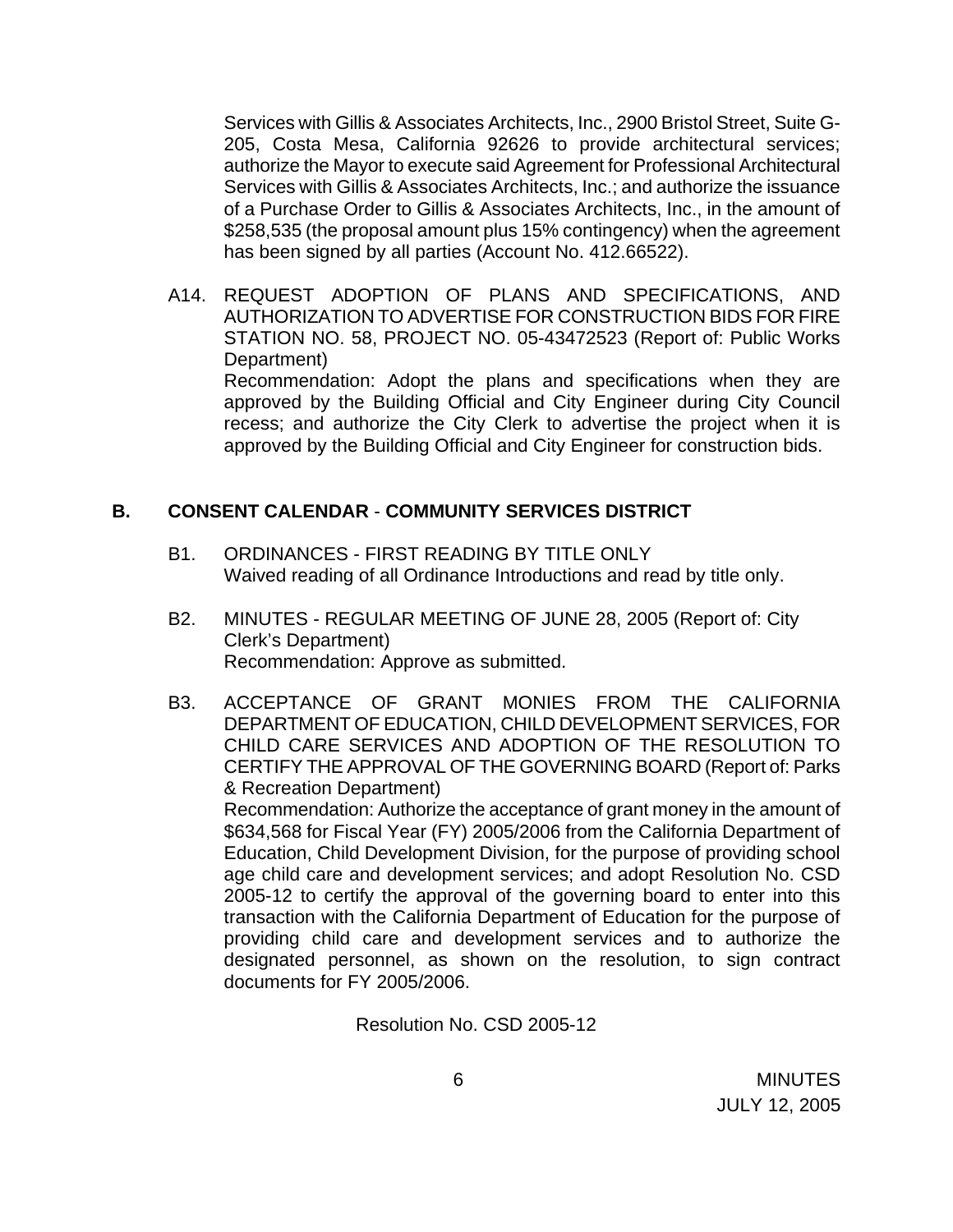Services with Gillis & Associates Architects, Inc., 2900 Bristol Street, Suite G-205, Costa Mesa, California 92626 to provide architectural services; authorize the Mayor to execute said Agreement for Professional Architectural Services with Gillis & Associates Architects, Inc.; and authorize the issuance of a Purchase Order to Gillis & Associates Architects, Inc., in the amount of \$258,535 (the proposal amount plus 15% contingency) when the agreement has been signed by all parties (Account No. 412.66522).

A14. REQUEST ADOPTION OF PLANS AND SPECIFICATIONS, AND AUTHORIZATION TO ADVERTISE FOR CONSTRUCTION BIDS FOR FIRE STATION NO. 58, PROJECT NO. 05-43472523 (Report of: Public Works Department) Recommendation: Adopt the plans and specifications when they are

approved by the Building Official and City Engineer during City Council recess; and authorize the City Clerk to advertise the project when it is approved by the Building Official and City Engineer for construction bids.

### **B. CONSENT CALENDAR** - **COMMUNITY SERVICES DISTRICT**

- B1. ORDINANCES FIRST READING BY TITLE ONLY Waived reading of all Ordinance Introductions and read by title only.
- B2. MINUTES REGULAR MEETING OF JUNE 28, 2005 (Report of: City Clerk's Department) Recommendation: Approve as submitted.
- B3. ACCEPTANCE OF GRANT MONIES FROM THE CALIFORNIA DEPARTMENT OF EDUCATION, CHILD DEVELOPMENT SERVICES, FOR CHILD CARE SERVICES AND ADOPTION OF THE RESOLUTION TO CERTIFY THE APPROVAL OF THE GOVERNING BOARD (Report of: Parks & Recreation Department)

 Recommendation: Authorize the acceptance of grant money in the amount of \$634,568 for Fiscal Year (FY) 2005/2006 from the California Department of Education, Child Development Division, for the purpose of providing school age child care and development services; and adopt Resolution No. CSD 2005-12 to certify the approval of the governing board to enter into this transaction with the California Department of Education for the purpose of providing child care and development services and to authorize the designated personnel, as shown on the resolution, to sign contract documents for FY 2005/2006.

Resolution No. CSD 2005-12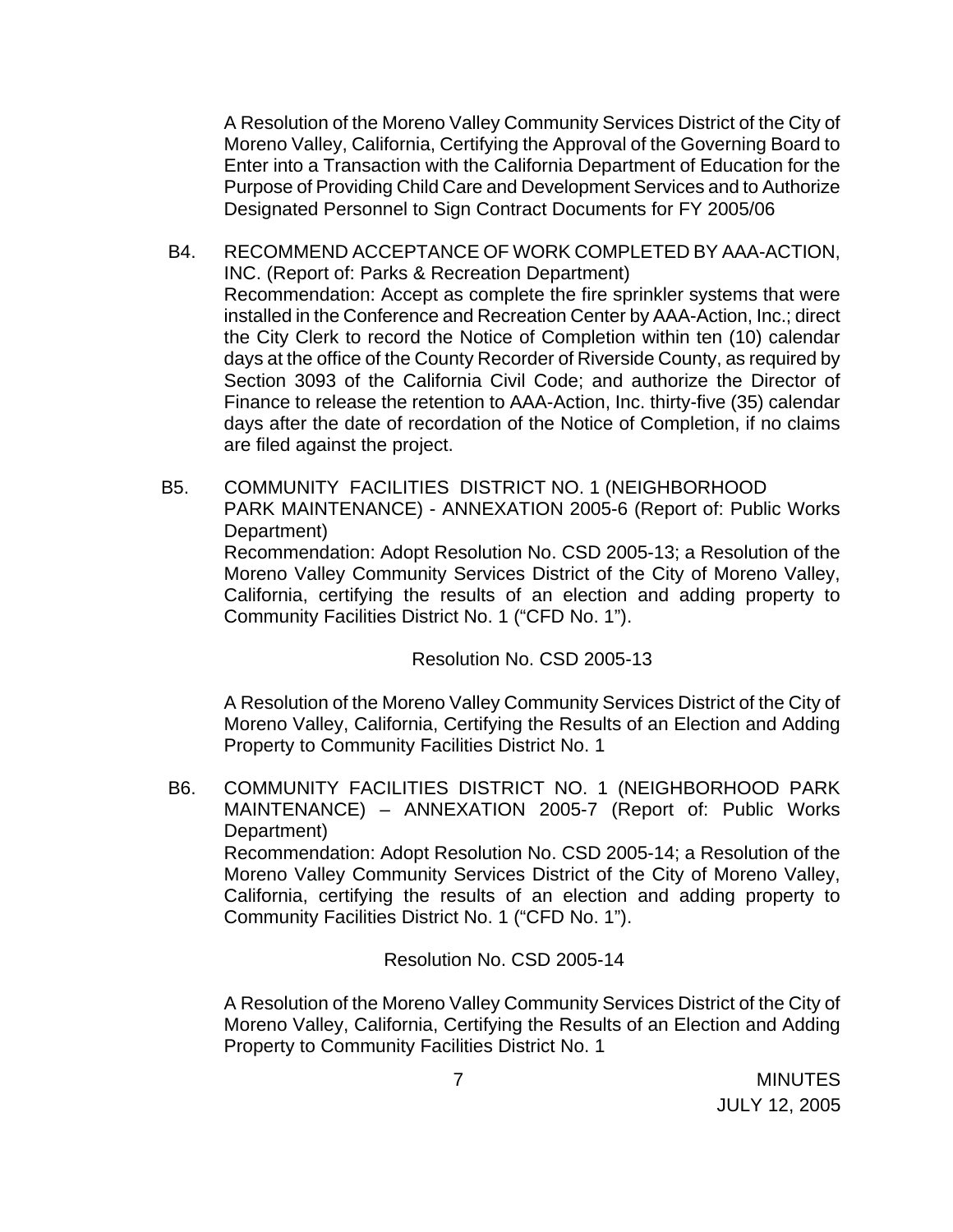A Resolution of the Moreno Valley Community Services District of the City of Moreno Valley, California, Certifying the Approval of the Governing Board to Enter into a Transaction with the California Department of Education for the Purpose of Providing Child Care and Development Services and to Authorize Designated Personnel to Sign Contract Documents for FY 2005/06

B4. RECOMMEND ACCEPTANCE OF WORK COMPLETED BY AAA-ACTION, INC. (Report of: Parks & Recreation Department) Recommendation: Accept as complete the fire sprinkler systems that were installed in the Conference and Recreation Center by AAA-Action, Inc.; direct the City Clerk to record the Notice of Completion within ten (10) calendar days at the office of the County Recorder of Riverside County, as required by Section 3093 of the California Civil Code; and authorize the Director of Finance to release the retention to AAA-Action, Inc. thirty-five (35) calendar days after the date of recordation of the Notice of Completion, if no claims are filed against the project.

B5. COMMUNITY FACILITIES DISTRICT NO. 1 (NEIGHBORHOOD PARK MAINTENANCE) - ANNEXATION 2005-6 (Report of: Public Works Department) Recommendation: Adopt Resolution No. CSD 2005-13; a Resolution of the Moreno Valley Community Services District of the City of Moreno Valley, California, certifying the results of an election and adding property to Community Facilities District No. 1 ("CFD No. 1").

Resolution No. CSD 2005-13

 A Resolution of the Moreno Valley Community Services District of the City of Moreno Valley, California, Certifying the Results of an Election and Adding Property to Community Facilities District No. 1

B6. COMMUNITY FACILITIES DISTRICT NO. 1 (NEIGHBORHOOD PARK MAINTENANCE) – ANNEXATION 2005-7 (Report of: Public Works Department) Recommendation: Adopt Resolution No. CSD 2005-14; a Resolution of the Moreno Valley Community Services District of the City of Moreno Valley, California, certifying the results of an election and adding property to Community Facilities District No. 1 ("CFD No. 1").

Resolution No. CSD 2005-14

 A Resolution of the Moreno Valley Community Services District of the City of Moreno Valley, California, Certifying the Results of an Election and Adding Property to Community Facilities District No. 1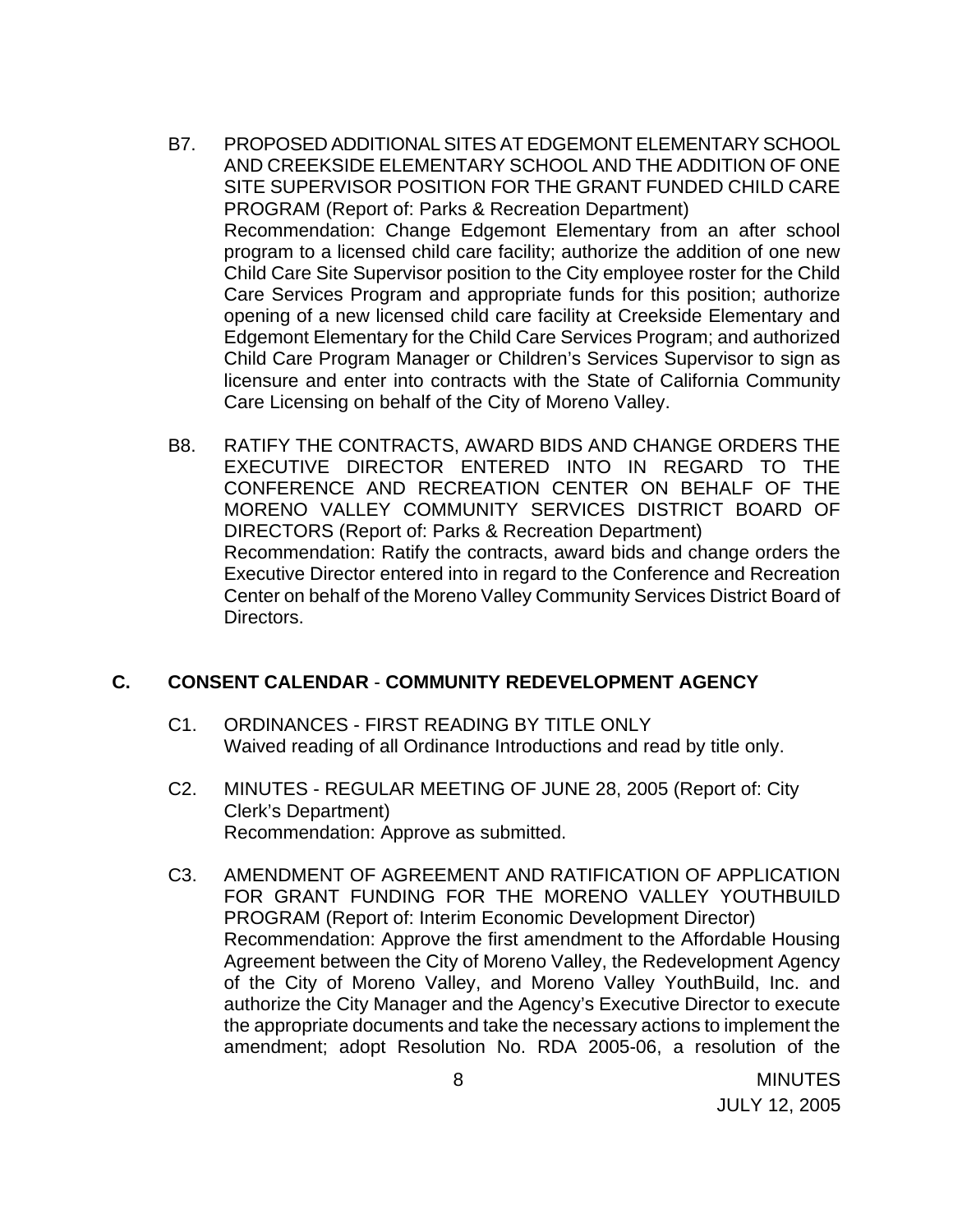- B7. PROPOSED ADDITIONAL SITES AT EDGEMONT ELEMENTARY SCHOOL AND CREEKSIDE ELEMENTARY SCHOOL AND THE ADDITION OF ONE SITE SUPERVISOR POSITION FOR THE GRANT FUNDED CHILD CARE PROGRAM (Report of: Parks & Recreation Department) Recommendation: Change Edgemont Elementary from an after school program to a licensed child care facility; authorize the addition of one new Child Care Site Supervisor position to the City employee roster for the Child Care Services Program and appropriate funds for this position; authorize opening of a new licensed child care facility at Creekside Elementary and Edgemont Elementary for the Child Care Services Program; and authorized Child Care Program Manager or Children's Services Supervisor to sign as licensure and enter into contracts with the State of California Community Care Licensing on behalf of the City of Moreno Valley.
- B8. RATIFY THE CONTRACTS, AWARD BIDS AND CHANGE ORDERS THE EXECUTIVE DIRECTOR ENTERED INTO IN REGARD TO THE CONFERENCE AND RECREATION CENTER ON BEHALF OF THE MORENO VALLEY COMMUNITY SERVICES DISTRICT BOARD OF DIRECTORS (Report of: Parks & Recreation Department) Recommendation: Ratify the contracts, award bids and change orders the Executive Director entered into in regard to the Conference and Recreation Center on behalf of the Moreno Valley Community Services District Board of Directors.

### **C. CONSENT CALENDAR** - **COMMUNITY REDEVELOPMENT AGENCY**

- C1. ORDINANCES FIRST READING BY TITLE ONLY Waived reading of all Ordinance Introductions and read by title only.
- C2. MINUTES REGULAR MEETING OF JUNE 28, 2005 (Report of: City Clerk's Department) Recommendation: Approve as submitted.
- C3. AMENDMENT OF AGREEMENT AND RATIFICATION OF APPLICATION FOR GRANT FUNDING FOR THE MORENO VALLEY YOUTHBUILD PROGRAM (Report of: Interim Economic Development Director) Recommendation: Approve the first amendment to the Affordable Housing Agreement between the City of Moreno Valley, the Redevelopment Agency of the City of Moreno Valley, and Moreno Valley YouthBuild, Inc. and authorize the City Manager and the Agency's Executive Director to execute the appropriate documents and take the necessary actions to implement the amendment; adopt Resolution No. RDA 2005-06, a resolution of the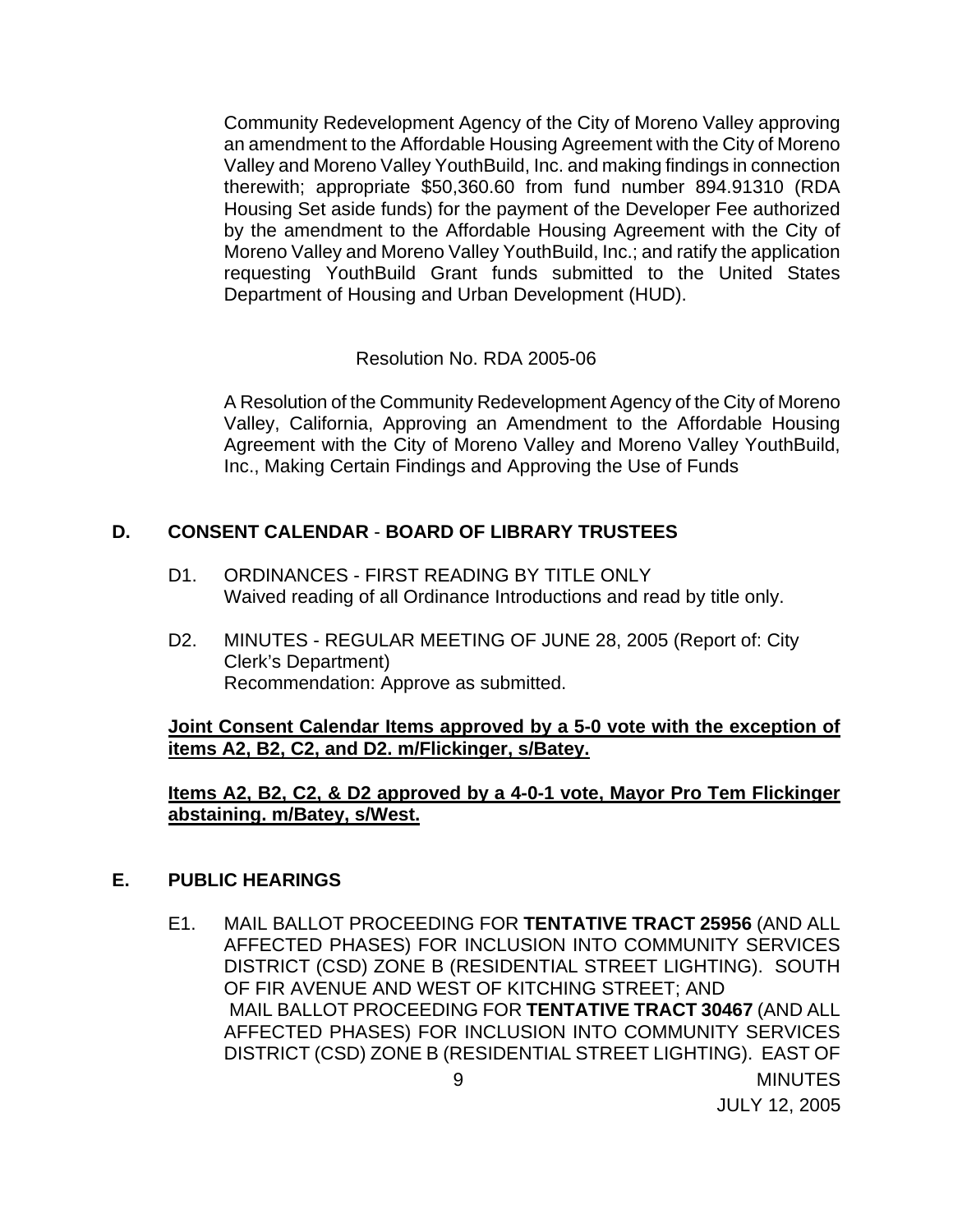Community Redevelopment Agency of the City of Moreno Valley approving an amendment to the Affordable Housing Agreement with the City of Moreno Valley and Moreno Valley YouthBuild, Inc. and making findings in connection therewith; appropriate \$50,360.60 from fund number 894.91310 (RDA Housing Set aside funds) for the payment of the Developer Fee authorized by the amendment to the Affordable Housing Agreement with the City of Moreno Valley and Moreno Valley YouthBuild, Inc.; and ratify the application requesting YouthBuild Grant funds submitted to the United States Department of Housing and Urban Development (HUD).

Resolution No. RDA 2005-06

 A Resolution of the Community Redevelopment Agency of the City of Moreno Valley, California, Approving an Amendment to the Affordable Housing Agreement with the City of Moreno Valley and Moreno Valley YouthBuild, Inc., Making Certain Findings and Approving the Use of Funds

# **D. CONSENT CALENDAR** - **BOARD OF LIBRARY TRUSTEES**

- D1. ORDINANCES FIRST READING BY TITLE ONLY Waived reading of all Ordinance Introductions and read by title only.
- D2. MINUTES REGULAR MEETING OF JUNE 28, 2005 (Report of: City Clerk's Department) Recommendation: Approve as submitted.

**Joint Consent Calendar Items approved by a 5-0 vote with the exception of items A2, B2, C2, and D2. m/Flickinger, s/Batey.**

 **Items A2, B2, C2, & D2 approved by a 4-0-1 vote, Mayor Pro Tem Flickinger abstaining. m/Batey, s/West.**

### **E. PUBLIC HEARINGS**

E1. MAIL BALLOT PROCEEDING FOR **TENTATIVE TRACT 25956** (AND ALL AFFECTED PHASES) FOR INCLUSION INTO COMMUNITY SERVICES DISTRICT (CSD) ZONE B (RESIDENTIAL STREET LIGHTING). SOUTH OF FIR AVENUE AND WEST OF KITCHING STREET; AND MAIL BALLOT PROCEEDING FOR **TENTATIVE TRACT 30467** (AND ALL AFFECTED PHASES) FOR INCLUSION INTO COMMUNITY SERVICES DISTRICT (CSD) ZONE B (RESIDENTIAL STREET LIGHTING). EAST OF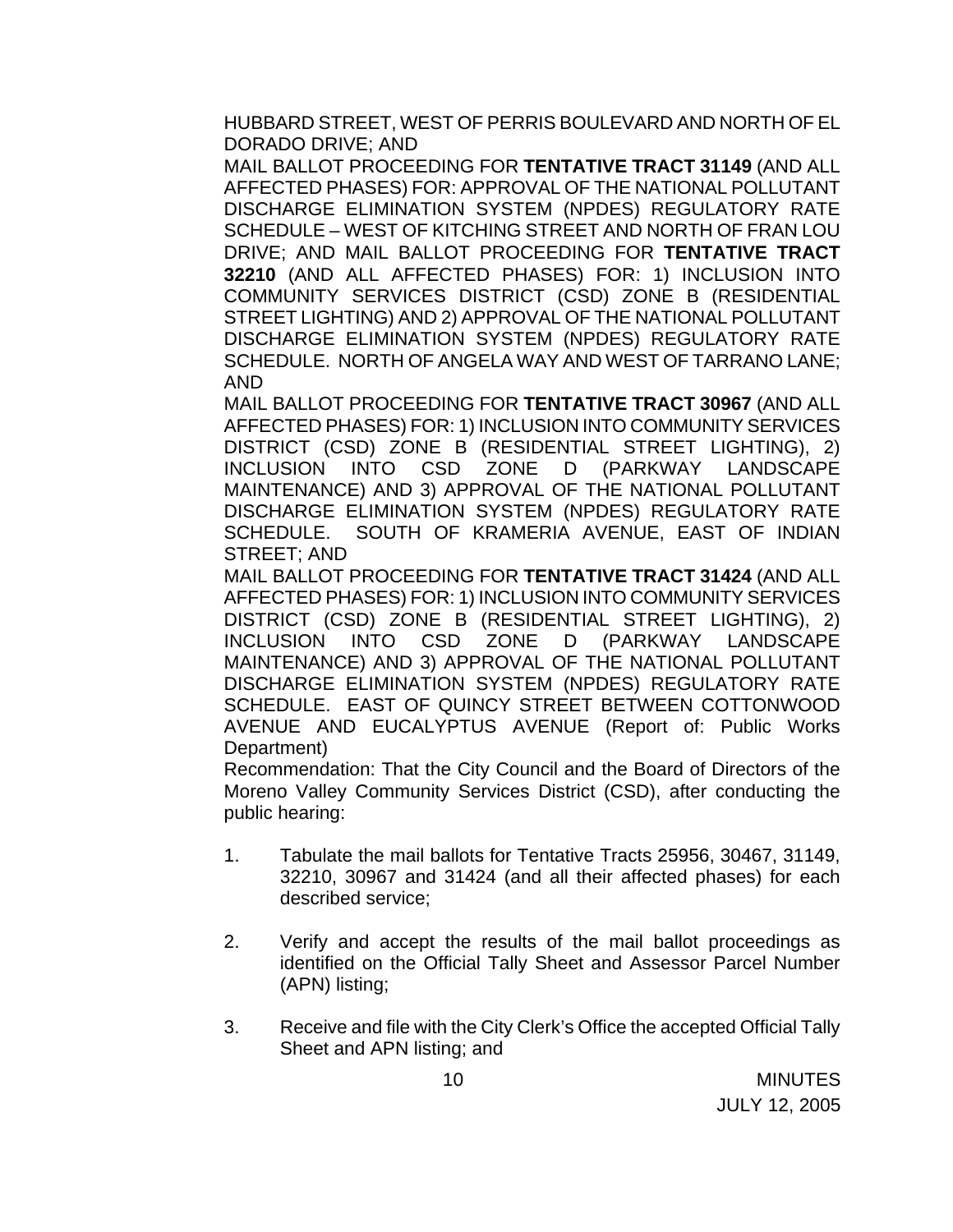HUBBARD STREET, WEST OF PERRIS BOULEVARD AND NORTH OF EL DORADO DRIVE; AND

MAIL BALLOT PROCEEDING FOR **TENTATIVE TRACT 31149** (AND ALL AFFECTED PHASES) FOR: APPROVAL OF THE NATIONAL POLLUTANT DISCHARGE ELIMINATION SYSTEM (NPDES) REGULATORY RATE SCHEDULE – WEST OF KITCHING STREET AND NORTH OF FRAN LOU DRIVE; AND MAIL BALLOT PROCEEDING FOR **TENTATIVE TRACT 32210** (AND ALL AFFECTED PHASES) FOR: 1) INCLUSION INTO COMMUNITY SERVICES DISTRICT (CSD) ZONE B (RESIDENTIAL STREET LIGHTING) AND 2) APPROVAL OF THE NATIONAL POLLUTANT DISCHARGE ELIMINATION SYSTEM (NPDES) REGULATORY RATE SCHEDULE. NORTH OF ANGELA WAY AND WEST OF TARRANO LANE; AND

MAIL BALLOT PROCEEDING FOR **TENTATIVE TRACT 30967** (AND ALL AFFECTED PHASES) FOR: 1) INCLUSION INTO COMMUNITY SERVICES DISTRICT (CSD) ZONE B (RESIDENTIAL STREET LIGHTING), 2) INCLUSION INTO CSD ZONE D (PARKWAY LANDSCAPE MAINTENANCE) AND 3) APPROVAL OF THE NATIONAL POLLUTANT DISCHARGE ELIMINATION SYSTEM (NPDES) REGULATORY RATE SCHEDULE. SOUTH OF KRAMERIA AVENUE, EAST OF INDIAN STREET; AND

MAIL BALLOT PROCEEDING FOR **TENTATIVE TRACT 31424** (AND ALL AFFECTED PHASES) FOR: 1) INCLUSION INTO COMMUNITY SERVICES DISTRICT (CSD) ZONE B (RESIDENTIAL STREET LIGHTING), 2) INCLUSION INTO CSD ZONE D (PARKWAY LANDSCAPE MAINTENANCE) AND 3) APPROVAL OF THE NATIONAL POLLUTANT DISCHARGE ELIMINATION SYSTEM (NPDES) REGULATORY RATE SCHEDULE. EAST OF QUINCY STREET BETWEEN COTTONWOOD AVENUE AND EUCALYPTUS AVENUE (Report of: Public Works Department)

 Recommendation: That the City Council and the Board of Directors of the Moreno Valley Community Services District (CSD), after conducting the public hearing:

- 1. Tabulate the mail ballots for Tentative Tracts 25956, 30467, 31149, 32210, 30967 and 31424 (and all their affected phases) for each described service;
- 2. Verify and accept the results of the mail ballot proceedings as identified on the Official Tally Sheet and Assessor Parcel Number (APN) listing;
- 3. Receive and file with the City Clerk's Office the accepted Official Tally Sheet and APN listing; and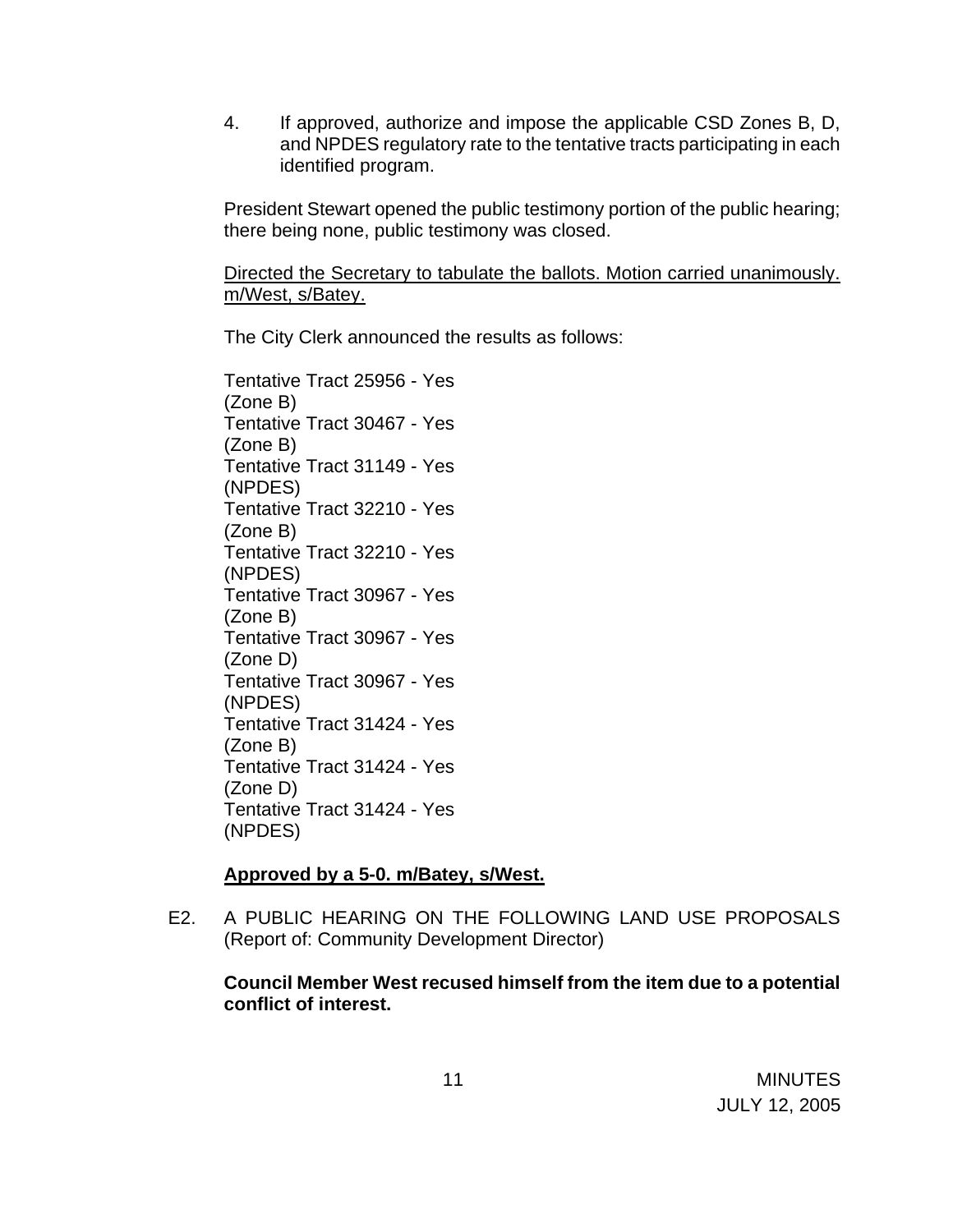4. If approved, authorize and impose the applicable CSD Zones B, D, and NPDES regulatory rate to the tentative tracts participating in each identified program.

 President Stewart opened the public testimony portion of the public hearing; there being none, public testimony was closed.

Directed the Secretary to tabulate the ballots. Motion carried unanimously. m/West, s/Batey.

The City Clerk announced the results as follows:

 Tentative Tract 25956 - Yes (Zone B) Tentative Tract 30467 - Yes (Zone B) Tentative Tract 31149 - Yes (NPDES) Tentative Tract 32210 - Yes (Zone B) Tentative Tract 32210 - Yes (NPDES) Tentative Tract 30967 - Yes (Zone B) Tentative Tract 30967 - Yes (Zone D) Tentative Tract 30967 - Yes (NPDES) Tentative Tract 31424 - Yes (Zone B) Tentative Tract 31424 - Yes (Zone D) Tentative Tract 31424 - Yes (NPDES)

# **Approved by a 5-0. m/Batey, s/West.**

E2. A PUBLIC HEARING ON THE FOLLOWING LAND USE PROPOSALS (Report of: Community Development Director)

**Council Member West recused himself from the item due to a potential conflict of interest.**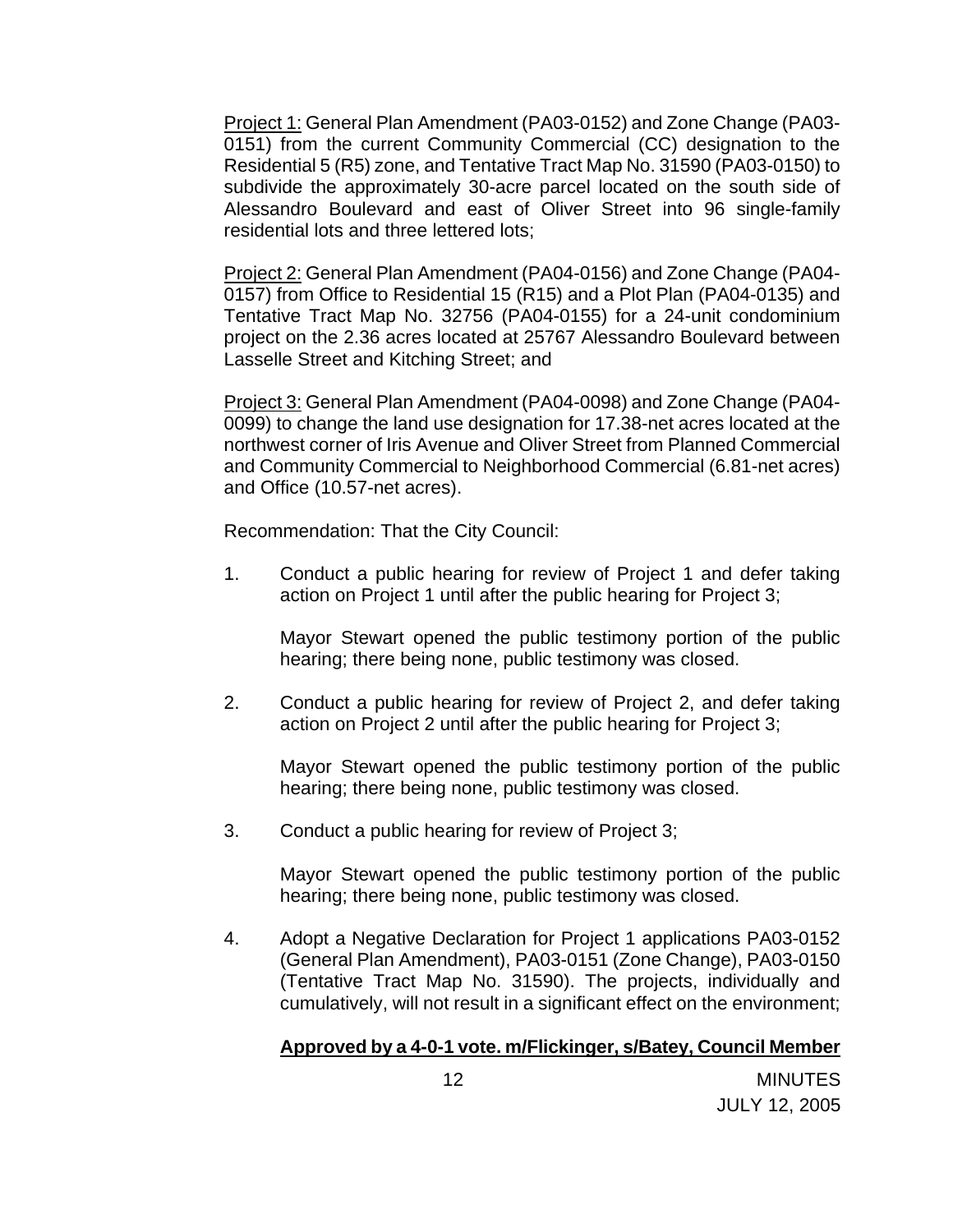Project 1: General Plan Amendment (PA03-0152) and Zone Change (PA03- 0151) from the current Community Commercial (CC) designation to the Residential 5 (R5) zone, and Tentative Tract Map No. 31590 (PA03-0150) to subdivide the approximately 30-acre parcel located on the south side of Alessandro Boulevard and east of Oliver Street into 96 single-family residential lots and three lettered lots;

 Project 2: General Plan Amendment (PA04-0156) and Zone Change (PA04- 0157) from Office to Residential 15 (R15) and a Plot Plan (PA04-0135) and Tentative Tract Map No. 32756 (PA04-0155) for a 24-unit condominium project on the 2.36 acres located at 25767 Alessandro Boulevard between Lasselle Street and Kitching Street; and

 Project 3: General Plan Amendment (PA04-0098) and Zone Change (PA04- 0099) to change the land use designation for 17.38-net acres located at the northwest corner of Iris Avenue and Oliver Street from Planned Commercial and Community Commercial to Neighborhood Commercial (6.81-net acres) and Office (10.57-net acres).

Recommendation: That the City Council:

1. Conduct a public hearing for review of Project 1 and defer taking action on Project 1 until after the public hearing for Project 3;

 Mayor Stewart opened the public testimony portion of the public hearing; there being none, public testimony was closed.

2. Conduct a public hearing for review of Project 2, and defer taking action on Project 2 until after the public hearing for Project 3;

 Mayor Stewart opened the public testimony portion of the public hearing; there being none, public testimony was closed.

3. Conduct a public hearing for review of Project 3;

 Mayor Stewart opened the public testimony portion of the public hearing; there being none, public testimony was closed.

4. Adopt a Negative Declaration for Project 1 applications PA03-0152 (General Plan Amendment), PA03-0151 (Zone Change), PA03-0150 (Tentative Tract Map No. 31590). The projects, individually and cumulatively, will not result in a significant effect on the environment;

### **Approved by a 4-0-1 vote. m/Flickinger, s/Batey, Council Member**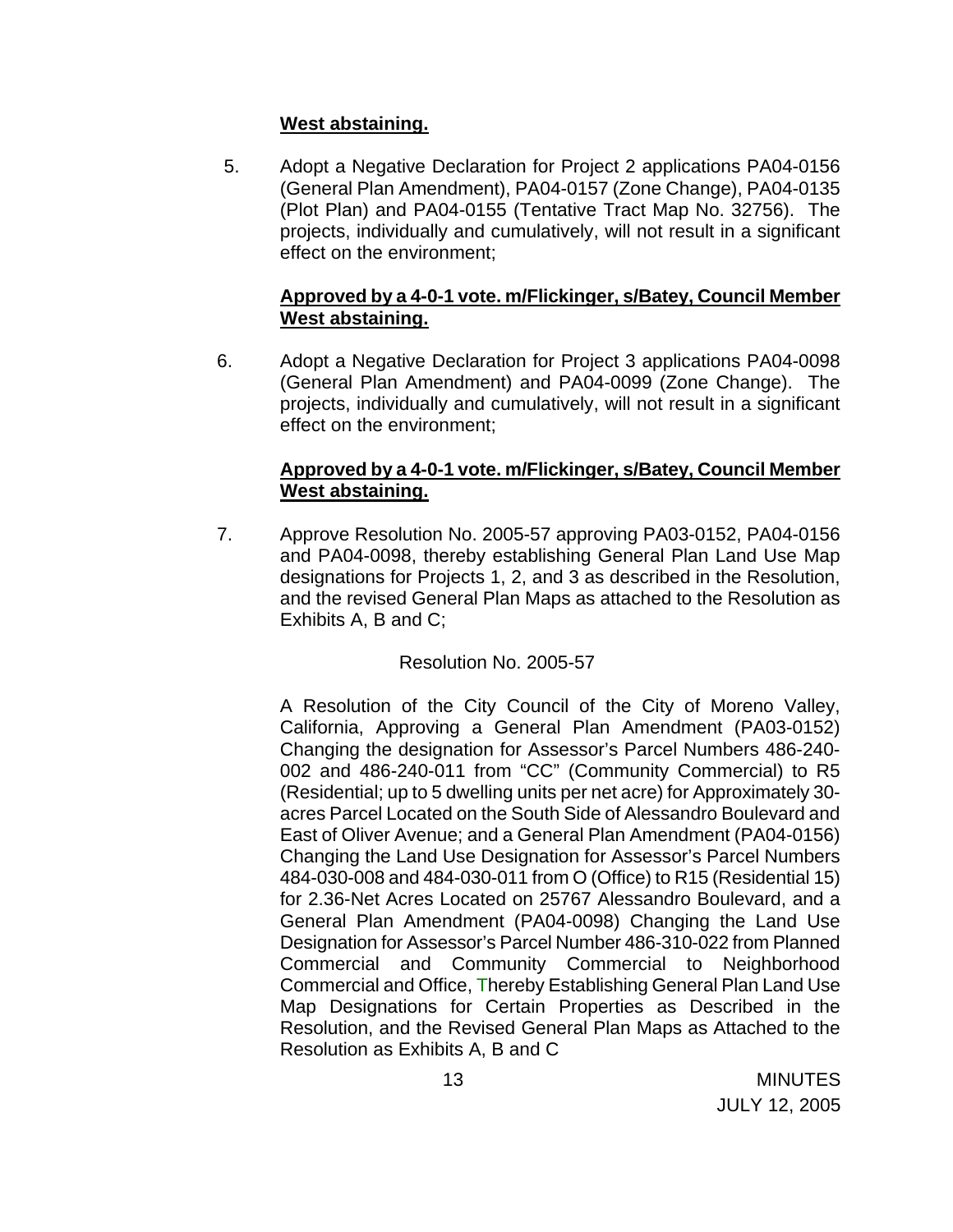### **West abstaining.**

5. Adopt a Negative Declaration for Project 2 applications PA04-0156 (General Plan Amendment), PA04-0157 (Zone Change), PA04-0135 (Plot Plan) and PA04-0155 (Tentative Tract Map No. 32756). The projects, individually and cumulatively, will not result in a significant effect on the environment;

### **Approved by a 4-0-1 vote. m/Flickinger, s/Batey, Council Member West abstaining.**

6. Adopt a Negative Declaration for Project 3 applications PA04-0098 (General Plan Amendment) and PA04-0099 (Zone Change). The projects, individually and cumulatively, will not result in a significant effect on the environment;

### **Approved by a 4-0-1 vote. m/Flickinger, s/Batey, Council Member West abstaining.**

7. Approve Resolution No. 2005-57 approving PA03-0152, PA04-0156 and PA04-0098, thereby establishing General Plan Land Use Map designations for Projects 1, 2, and 3 as described in the Resolution, and the revised General Plan Maps as attached to the Resolution as Exhibits A, B and C;

# Resolution No. 2005-57

A Resolution of the City Council of the City of Moreno Valley, California, Approving a General Plan Amendment (PA03-0152) Changing the designation for Assessor's Parcel Numbers 486-240- 002 and 486-240-011 from "CC" (Community Commercial) to R5 (Residential; up to 5 dwelling units per net acre) for Approximately 30 acres Parcel Located on the South Side of Alessandro Boulevard and East of Oliver Avenue; and a General Plan Amendment (PA04-0156) Changing the Land Use Designation for Assessor's Parcel Numbers 484-030-008 and 484-030-011 from O (Office) to R15 (Residential 15) for 2.36-Net Acres Located on 25767 Alessandro Boulevard, and a General Plan Amendment (PA04-0098) Changing the Land Use Designation for Assessor's Parcel Number 486-310-022 from Planned Commercial and Community Commercial to Neighborhood Commercial and Office, Thereby Establishing General Plan Land Use Map Designations for Certain Properties as Described in the Resolution, and the Revised General Plan Maps as Attached to the Resolution as Exhibits A, B and C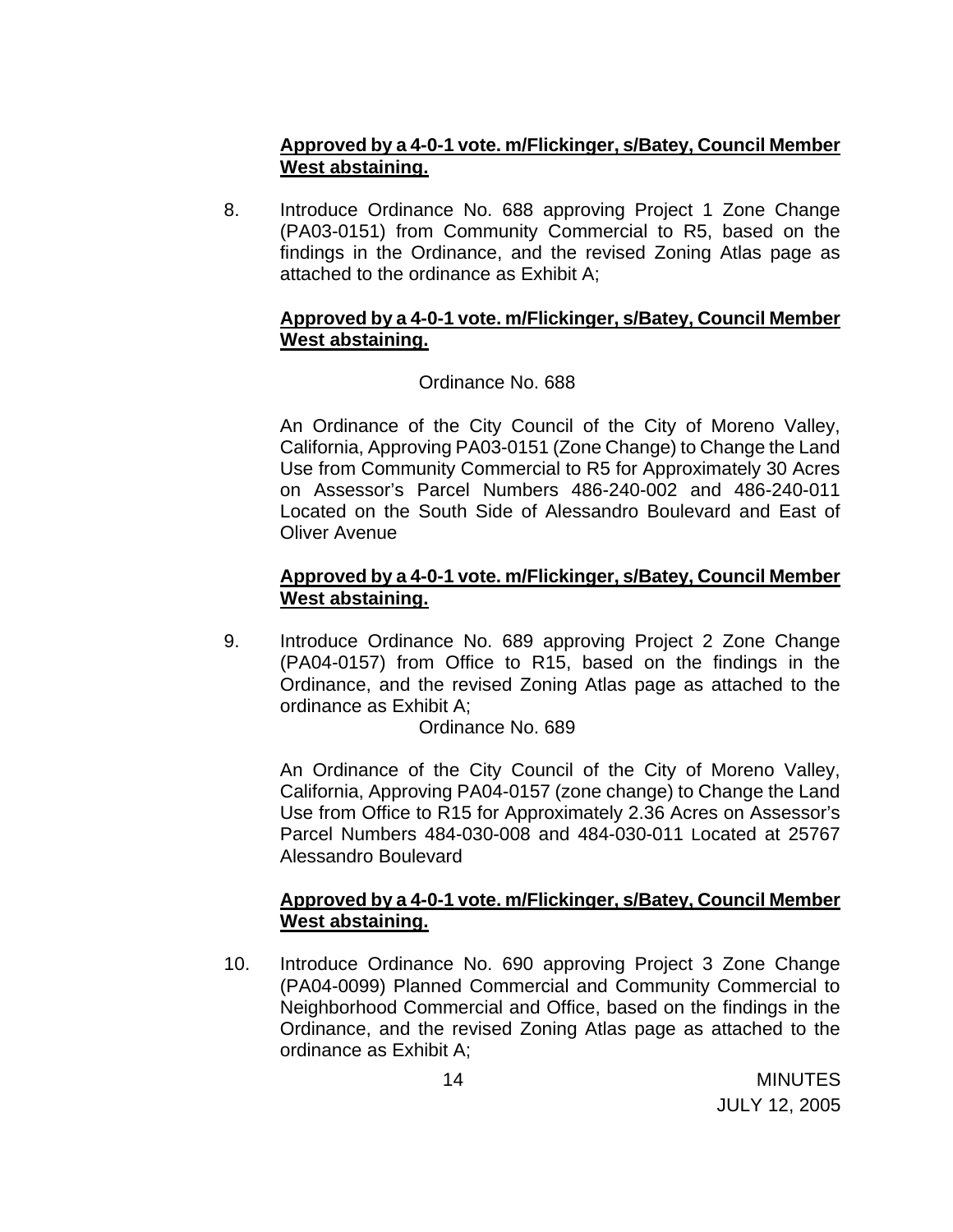# **Approved by a 4-0-1 vote. m/Flickinger, s/Batey, Council Member West abstaining.**

8. Introduce Ordinance No. 688 approving Project 1 Zone Change (PA03-0151) from Community Commercial to R5, based on the findings in the Ordinance, and the revised Zoning Atlas page as attached to the ordinance as Exhibit A;

### **Approved by a 4-0-1 vote. m/Flickinger, s/Batey, Council Member West abstaining.**

# Ordinance No. 688

An Ordinance of the City Council of the City of Moreno Valley, California, Approving PA03-0151 (Zone Change) to Change the Land Use from Community Commercial to R5 for Approximately 30 Acres on Assessor's Parcel Numbers 486-240-002 and 486-240-011 Located on the South Side of Alessandro Boulevard and East of Oliver Avenue

### **Approved by a 4-0-1 vote. m/Flickinger, s/Batey, Council Member West abstaining.**

9. Introduce Ordinance No. 689 approving Project 2 Zone Change (PA04-0157) from Office to R15, based on the findings in the Ordinance, and the revised Zoning Atlas page as attached to the ordinance as Exhibit A;

Ordinance No. 689

An Ordinance of the City Council of the City of Moreno Valley, California, Approving PA04-0157 (zone change) to Change the Land Use from Office to R15 for Approximately 2.36 Acres on Assessor's Parcel Numbers 484-030-008 and 484-030-011 Located at 25767 Alessandro Boulevard

### **Approved by a 4-0-1 vote. m/Flickinger, s/Batey, Council Member West abstaining.**

10. Introduce Ordinance No. 690 approving Project 3 Zone Change (PA04-0099) Planned Commercial and Community Commercial to Neighborhood Commercial and Office, based on the findings in the Ordinance, and the revised Zoning Atlas page as attached to the ordinance as Exhibit A;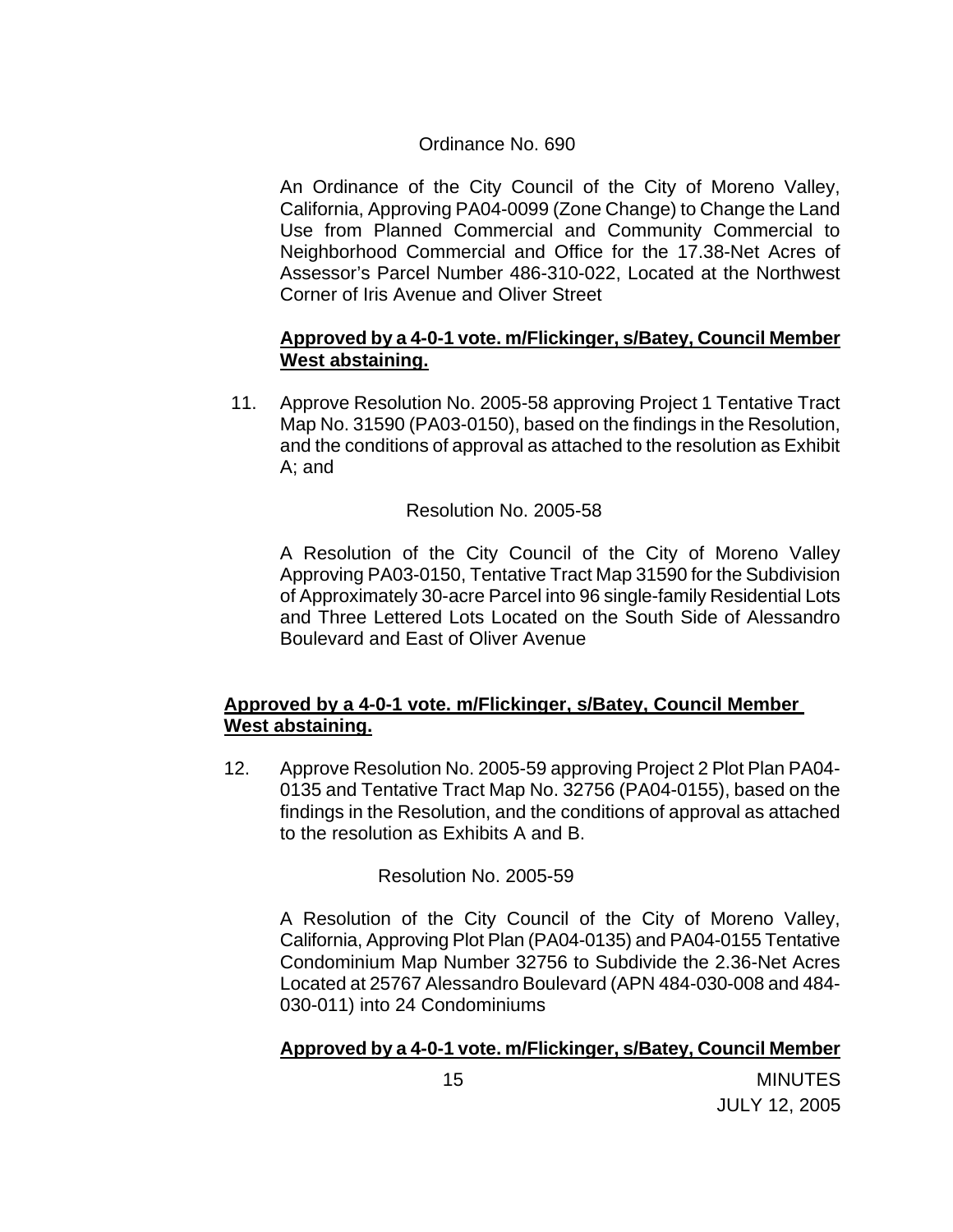### Ordinance No. 690

An Ordinance of the City Council of the City of Moreno Valley, California, Approving PA04-0099 (Zone Change) to Change the Land Use from Planned Commercial and Community Commercial to Neighborhood Commercial and Office for the 17.38-Net Acres of Assessor's Parcel Number 486-310-022, Located at the Northwest Corner of Iris Avenue and Oliver Street

### **Approved by a 4-0-1 vote. m/Flickinger, s/Batey, Council Member West abstaining.**

11. Approve Resolution No. 2005-58 approving Project 1 Tentative Tract Map No. 31590 (PA03-0150), based on the findings in the Resolution, and the conditions of approval as attached to the resolution as Exhibit A; and

### Resolution No. 2005-58

A Resolution of the City Council of the City of Moreno Valley Approving PA03-0150, Tentative Tract Map 31590 for the Subdivision of Approximately 30-acre Parcel into 96 single-family Residential Lots and Three Lettered Lots Located on the South Side of Alessandro Boulevard and East of Oliver Avenue

# **Approved by a 4-0-1 vote. m/Flickinger, s/Batey, Council Member West abstaining.**

12. Approve Resolution No. 2005-59 approving Project 2 Plot Plan PA04- 0135 and Tentative Tract Map No. 32756 (PA04-0155), based on the findings in the Resolution, and the conditions of approval as attached to the resolution as Exhibits A and B.

### Resolution No. 2005-59

 A Resolution of the City Council of the City of Moreno Valley, California, Approving Plot Plan (PA04-0135) and PA04-0155 Tentative Condominium Map Number 32756 to Subdivide the 2.36-Net Acres Located at 25767 Alessandro Boulevard (APN 484-030-008 and 484- 030-011) into 24 Condominiums

### **Approved by a 4-0-1 vote. m/Flickinger, s/Batey, Council Member**

15 MINUTES JULY 12, 2005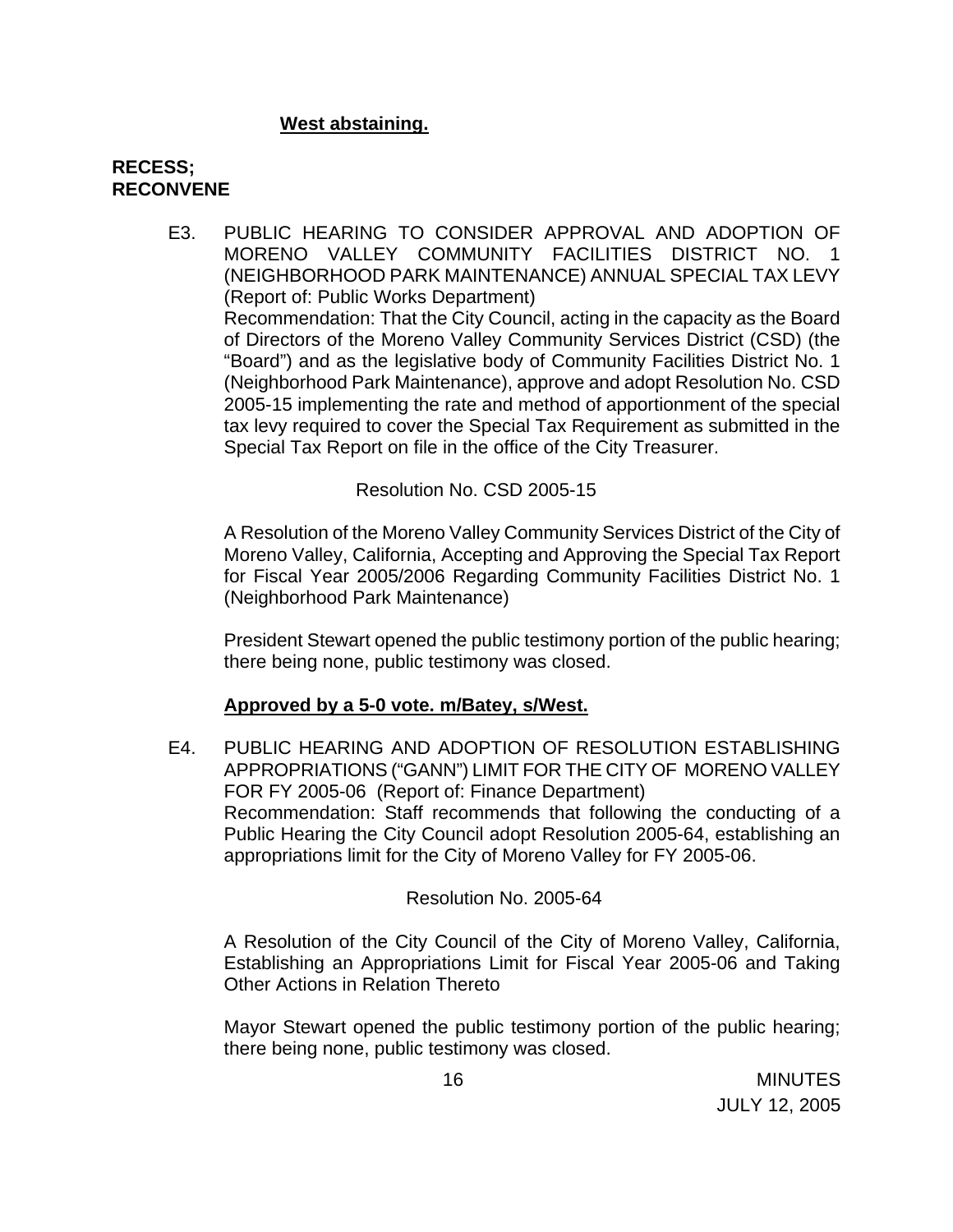### **West abstaining.**

### **RECESS; RECONVENE**

E3. PUBLIC HEARING TO CONSIDER APPROVAL AND ADOPTION OF MORENO VALLEY COMMUNITY FACILITIES DISTRICT NO. 1 (NEIGHBORHOOD PARK MAINTENANCE) ANNUAL SPECIAL TAX LEVY (Report of: Public Works Department) Recommendation: That the City Council, acting in the capacity as the Board of Directors of the Moreno Valley Community Services District (CSD) (the "Board") and as the legislative body of Community Facilities District No. 1 (Neighborhood Park Maintenance), approve and adopt Resolution No. CSD 2005-15 implementing the rate and method of apportionment of the special tax levy required to cover the Special Tax Requirement as submitted in the Special Tax Report on file in the office of the City Treasurer.

#### Resolution No. CSD 2005-15

A Resolution of the Moreno Valley Community Services District of the City of Moreno Valley, California, Accepting and Approving the Special Tax Report for Fiscal Year 2005/2006 Regarding Community Facilities District No. 1 (Neighborhood Park Maintenance)

 President Stewart opened the public testimony portion of the public hearing; there being none, public testimony was closed.

### **Approved by a 5-0 vote. m/Batey, s/West.**

E4. PUBLIC HEARING AND ADOPTION OF RESOLUTION ESTABLISHING APPROPRIATIONS ("GANN") LIMIT FOR THE CITY OF MORENO VALLEY FOR FY 2005-06 (Report of: Finance Department) Recommendation: Staff recommends that following the conducting of a Public Hearing the City Council adopt Resolution 2005-64, establishing an appropriations limit for the City of Moreno Valley for FY 2005-06.

#### Resolution No. 2005-64

A Resolution of the City Council of the City of Moreno Valley, California, Establishing an Appropriations Limit for Fiscal Year 2005-06 and Taking Other Actions in Relation Thereto

 Mayor Stewart opened the public testimony portion of the public hearing; there being none, public testimony was closed.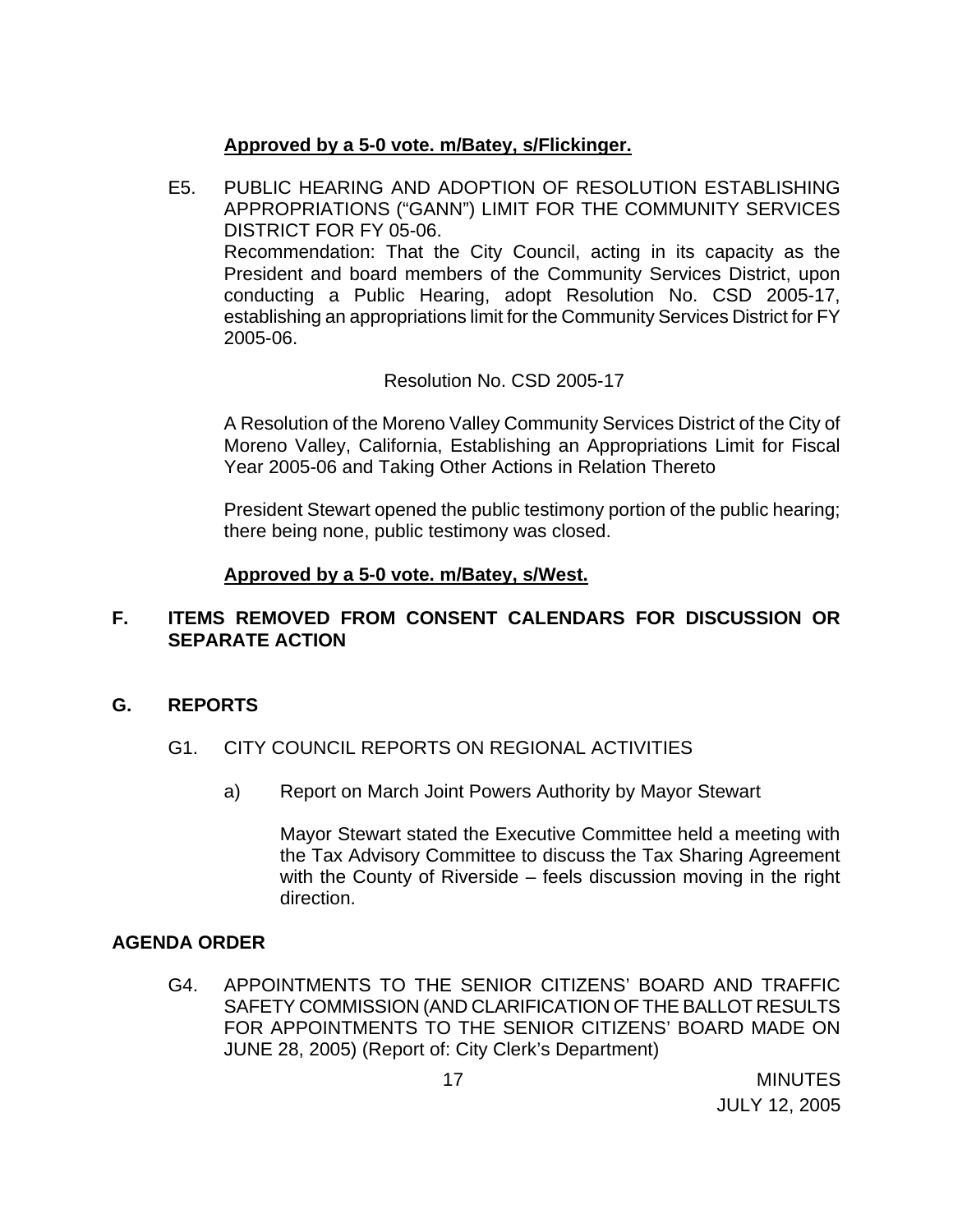# **Approved by a 5-0 vote. m/Batey, s/Flickinger.**

E5. PUBLIC HEARING AND ADOPTION OF RESOLUTION ESTABLISHING APPROPRIATIONS ("GANN") LIMIT FOR THE COMMUNITY SERVICES DISTRICT FOR FY 05-06. Recommendation: That the City Council, acting in its capacity as the President and board members of the Community Services District, upon conducting a Public Hearing, adopt Resolution No. CSD 2005-17, establishing an appropriations limit for the Community Services District for FY 2005-06.

# Resolution No. CSD 2005-17

A Resolution of the Moreno Valley Community Services District of the City of Moreno Valley, California, Establishing an Appropriations Limit for Fiscal Year 2005-06 and Taking Other Actions in Relation Thereto

 President Stewart opened the public testimony portion of the public hearing; there being none, public testimony was closed.

# **Approved by a 5-0 vote. m/Batey, s/West.**

# **F. ITEMS REMOVED FROM CONSENT CALENDARS FOR DISCUSSION OR SEPARATE ACTION**

# **G. REPORTS**

# G1. CITY COUNCIL REPORTS ON REGIONAL ACTIVITIES

a) Report on March Joint Powers Authority by Mayor Stewart

 Mayor Stewart stated the Executive Committee held a meeting with the Tax Advisory Committee to discuss the Tax Sharing Agreement with the County of Riverside – feels discussion moving in the right direction.

### **AGENDA ORDER**

G4. APPOINTMENTS TO THE SENIOR CITIZENS' BOARD AND TRAFFIC SAFETY COMMISSION (AND CLARIFICATION OF THE BALLOT RESULTS FOR APPOINTMENTS TO THE SENIOR CITIZENS' BOARD MADE ON JUNE 28, 2005) (Report of: City Clerk's Department)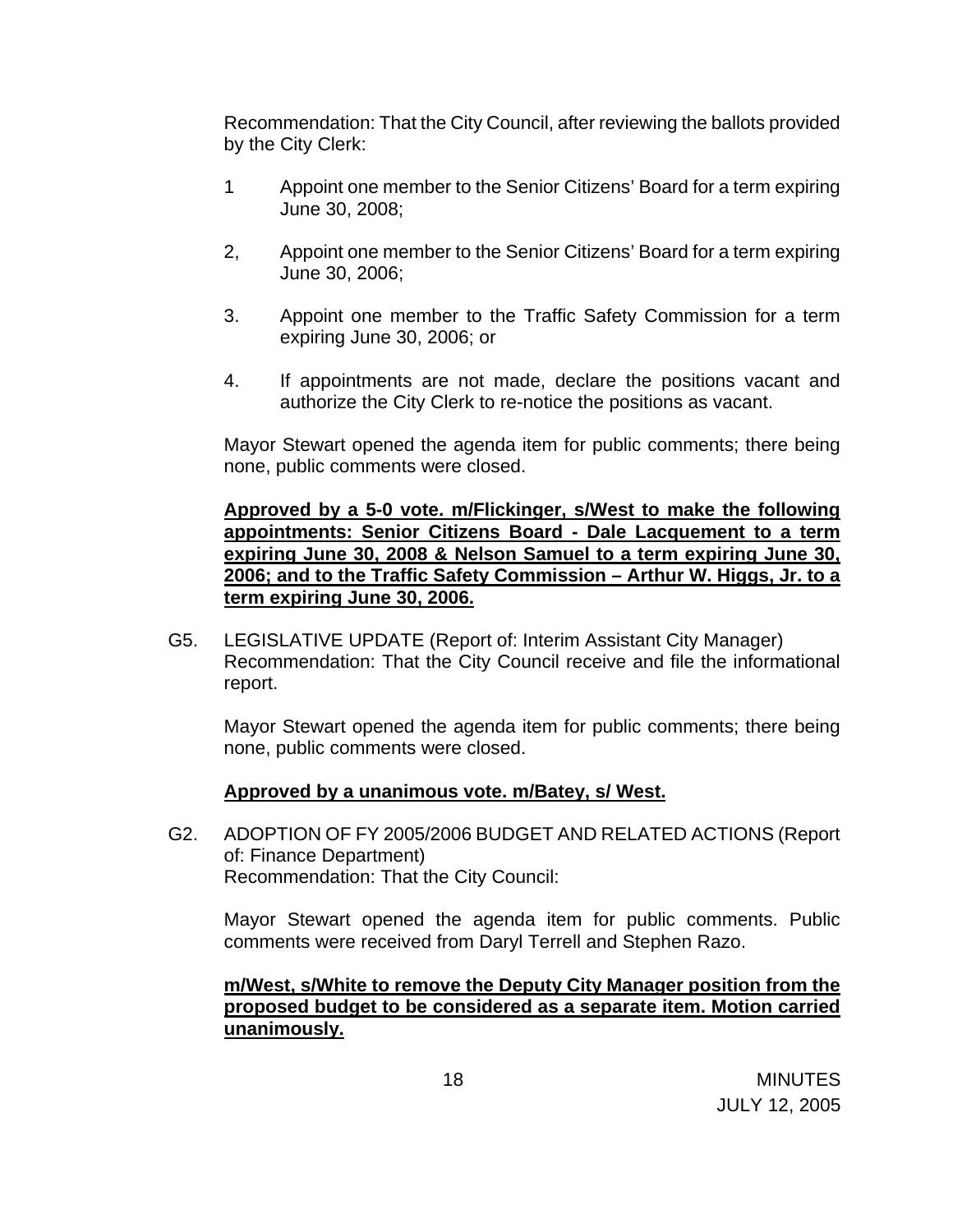Recommendation: That the City Council, after reviewing the ballots provided by the City Clerk:

- 1 Appoint one member to the Senior Citizens' Board for a term expiring June 30, 2008;
- 2, Appoint one member to the Senior Citizens' Board for a term expiring June 30, 2006;
- 3. Appoint one member to the Traffic Safety Commission for a term expiring June 30, 2006; or
- 4. If appointments are not made, declare the positions vacant and authorize the City Clerk to re-notice the positions as vacant.

 Mayor Stewart opened the agenda item for public comments; there being none, public comments were closed.

**Approved by a 5-0 vote. m/Flickinger, s/West to make the following appointments: Senior Citizens Board - Dale Lacquement to a term expiring June 30, 2008 & Nelson Samuel to a term expiring June 30, 2006; and to the Traffic Safety Commission – Arthur W. Higgs, Jr. to a term expiring June 30, 2006.**

G5. LEGISLATIVE UPDATE (Report of: Interim Assistant City Manager) Recommendation: That the City Council receive and file the informational report.

 Mayor Stewart opened the agenda item for public comments; there being none, public comments were closed.

### **Approved by a unanimous vote. m/Batey, s/ West.**

G2. ADOPTION OF FY 2005/2006 BUDGET AND RELATED ACTIONS (Report of: Finance Department) Recommendation: That the City Council:

 Mayor Stewart opened the agenda item for public comments. Public comments were received from Daryl Terrell and Stephen Razo.

### **m/West, s/White to remove the Deputy City Manager position from the proposed budget to be considered as a separate item. Motion carried unanimously.**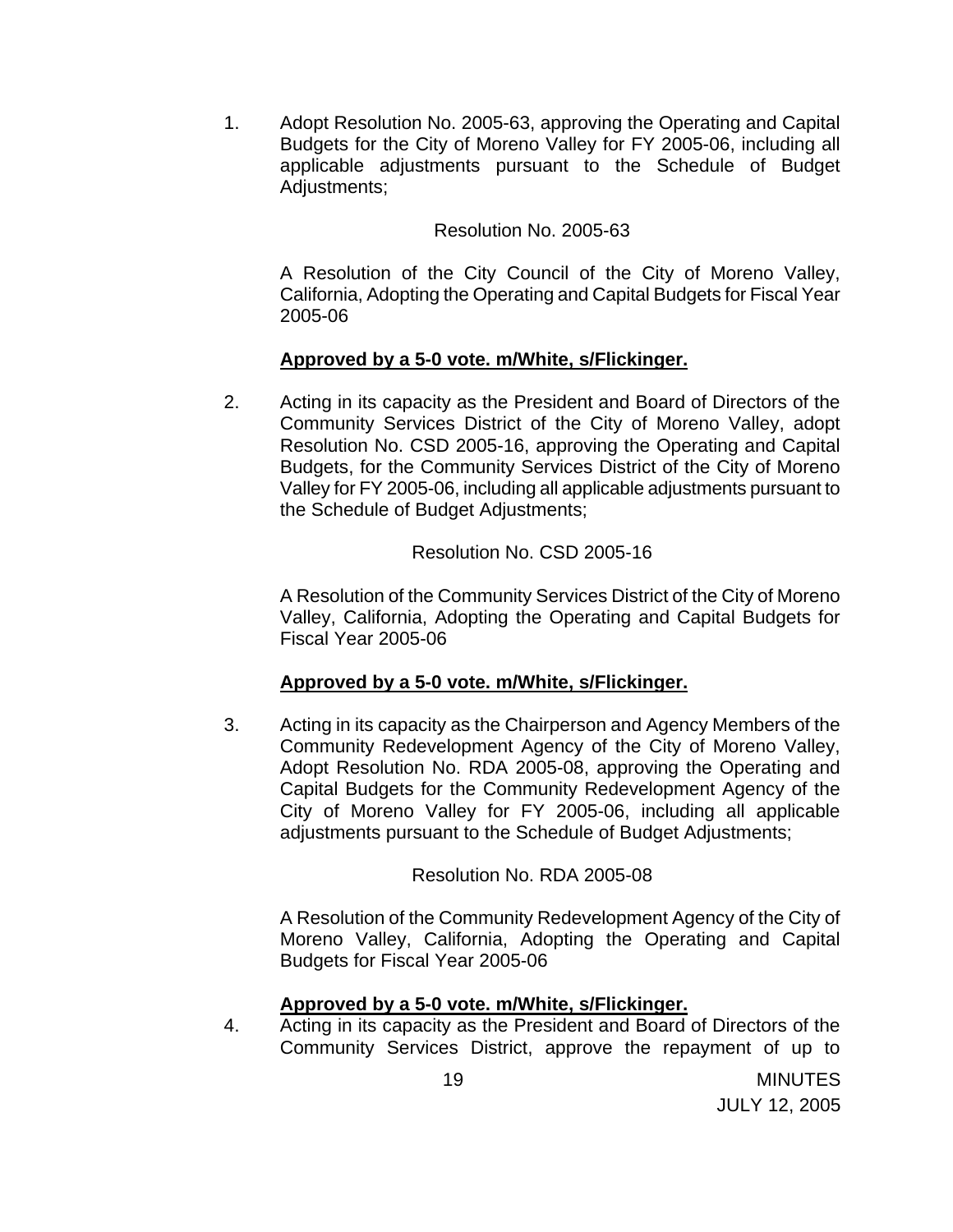1. Adopt Resolution No. 2005-63, approving the Operating and Capital Budgets for the City of Moreno Valley for FY 2005-06, including all applicable adjustments pursuant to the Schedule of Budget Adjustments;

### Resolution No. 2005-63

A Resolution of the City Council of the City of Moreno Valley, California, Adopting the Operating and Capital Budgets for Fiscal Year 2005-06

### **Approved by a 5-0 vote. m/White, s/Flickinger.**

2. Acting in its capacity as the President and Board of Directors of the Community Services District of the City of Moreno Valley, adopt Resolution No. CSD 2005-16, approving the Operating and Capital Budgets, for the Community Services District of the City of Moreno Valley for FY 2005-06, including all applicable adjustments pursuant to the Schedule of Budget Adjustments;

Resolution No. CSD 2005-16

A Resolution of the Community Services District of the City of Moreno Valley, California, Adopting the Operating and Capital Budgets for Fiscal Year 2005-06

### **Approved by a 5-0 vote. m/White, s/Flickinger.**

3. Acting in its capacity as the Chairperson and Agency Members of the Community Redevelopment Agency of the City of Moreno Valley, Adopt Resolution No. RDA 2005-08, approving the Operating and Capital Budgets for the Community Redevelopment Agency of the City of Moreno Valley for FY 2005-06, including all applicable adjustments pursuant to the Schedule of Budget Adjustments;

# Resolution No. RDA 2005-08

A Resolution of the Community Redevelopment Agency of the City of Moreno Valley, California, Adopting the Operating and Capital Budgets for Fiscal Year 2005-06

### **Approved by a 5-0 vote. m/White, s/Flickinger.**

4. Acting in its capacity as the President and Board of Directors of the Community Services District, approve the repayment of up to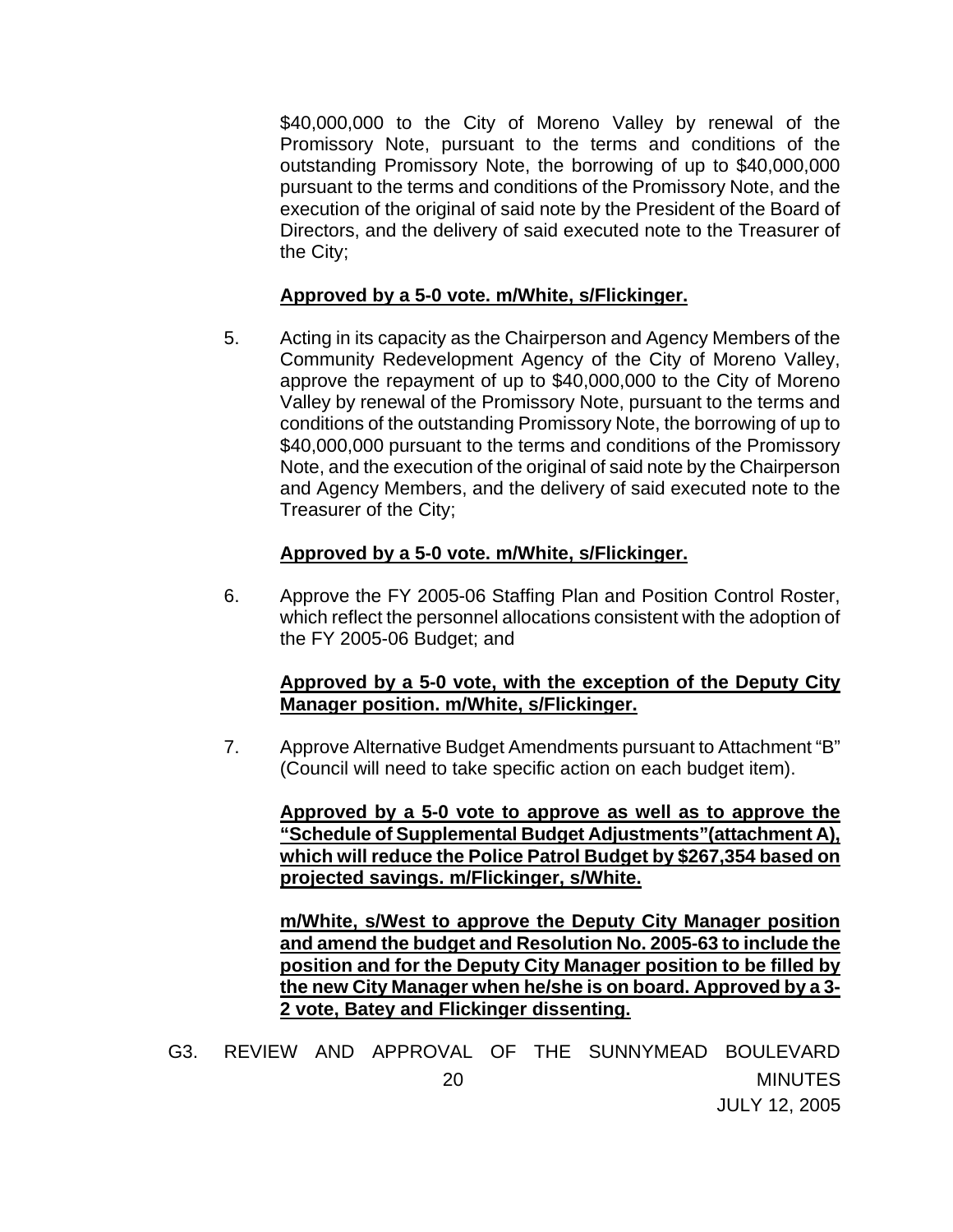\$40,000,000 to the City of Moreno Valley by renewal of the Promissory Note, pursuant to the terms and conditions of the outstanding Promissory Note, the borrowing of up to \$40,000,000 pursuant to the terms and conditions of the Promissory Note, and the execution of the original of said note by the President of the Board of Directors, and the delivery of said executed note to the Treasurer of the City;

### **Approved by a 5-0 vote. m/White, s/Flickinger.**

5. Acting in its capacity as the Chairperson and Agency Members of the Community Redevelopment Agency of the City of Moreno Valley, approve the repayment of up to \$40,000,000 to the City of Moreno Valley by renewal of the Promissory Note, pursuant to the terms and conditions of the outstanding Promissory Note, the borrowing of up to \$40,000,000 pursuant to the terms and conditions of the Promissory Note, and the execution of the original of said note by the Chairperson and Agency Members, and the delivery of said executed note to the Treasurer of the City;

### **Approved by a 5-0 vote. m/White, s/Flickinger.**

6. Approve the FY 2005-06 Staffing Plan and Position Control Roster, which reflect the personnel allocations consistent with the adoption of the FY 2005-06 Budget; and

### **Approved by a 5-0 vote, with the exception of the Deputy City Manager position. m/White, s/Flickinger.**

7. Approve Alternative Budget Amendments pursuant to Attachment "B" (Council will need to take specific action on each budget item).

**Approved by a 5-0 vote to approve as well as to approve the "Schedule of Supplemental Budget Adjustments"(attachment A), which will reduce the Police Patrol Budget by \$267,354 based on projected savings. m/Flickinger, s/White.**

 **m/White, s/West to approve the Deputy City Manager position and amend the budget and Resolution No. 2005-63 to include the position and for the Deputy City Manager position to be filled by the new City Manager when he/she is on board. Approved by a 3- 2 vote, Batey and Flickinger dissenting.**

20 MINUTES JULY 12, 2005 G3. REVIEW AND APPROVAL OF THE SUNNYMEAD BOULEVARD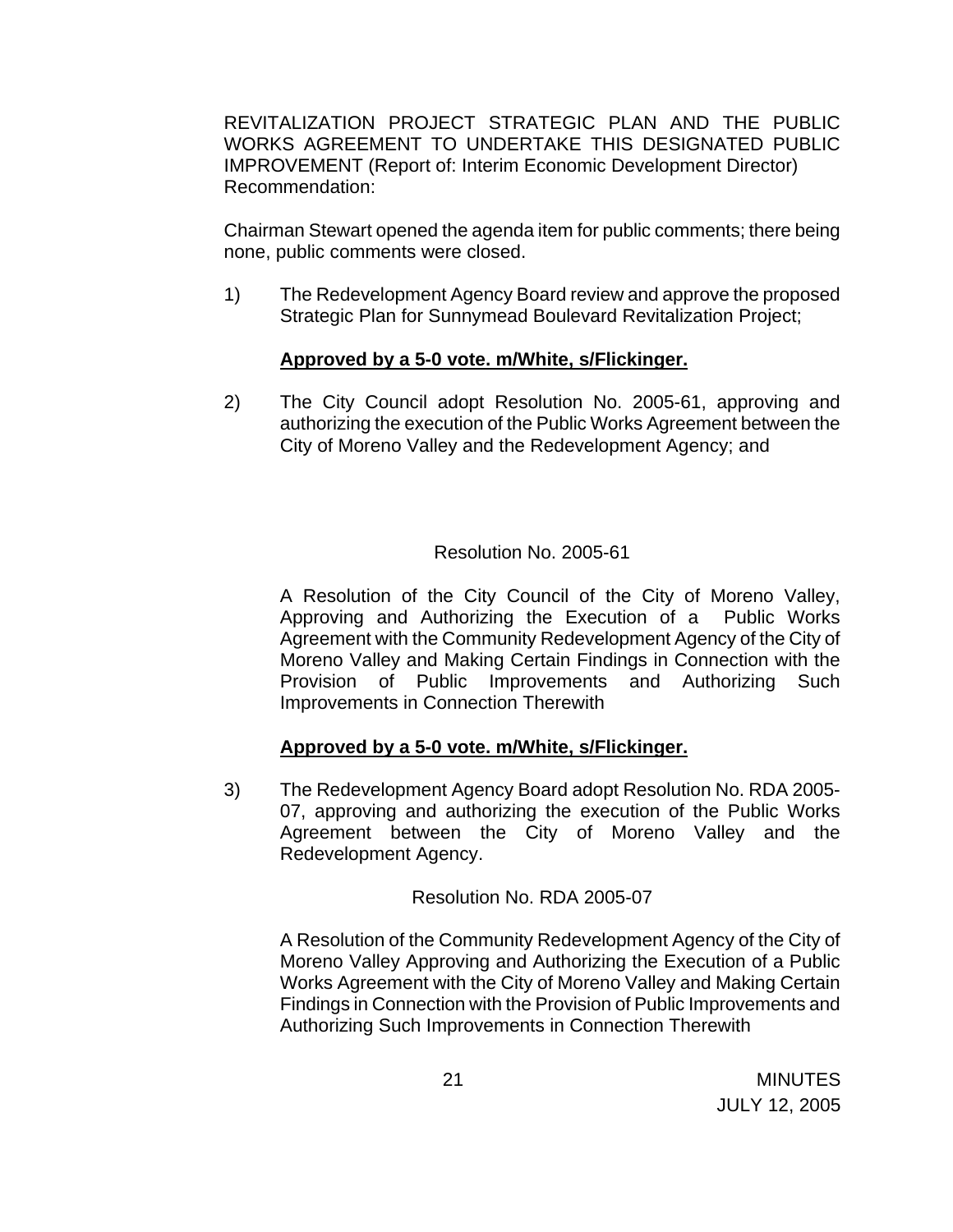REVITALIZATION PROJECT STRATEGIC PLAN AND THE PUBLIC WORKS AGREEMENT TO UNDERTAKE THIS DESIGNATED PUBLIC IMPROVEMENT (Report of: Interim Economic Development Director) Recommendation:

 Chairman Stewart opened the agenda item for public comments; there being none, public comments were closed.

1) The Redevelopment Agency Board review and approve the proposed Strategic Plan for Sunnymead Boulevard Revitalization Project;

### **Approved by a 5-0 vote. m/White, s/Flickinger.**

2) The City Council adopt Resolution No. 2005-61, approving and authorizing the execution of the Public Works Agreement between the City of Moreno Valley and the Redevelopment Agency; and

# Resolution No. 2005-61

A Resolution of the City Council of the City of Moreno Valley, Approving and Authorizing the Execution of a Public Works Agreement with the Community Redevelopment Agency of the City of Moreno Valley and Making Certain Findings in Connection with the Provision of Public Improvements and Authorizing Such Improvements in Connection Therewith

# **Approved by a 5-0 vote. m/White, s/Flickinger.**

3) The Redevelopment Agency Board adopt Resolution No. RDA 2005- 07, approving and authorizing the execution of the Public Works Agreement between the City of Moreno Valley and the Redevelopment Agency.

### Resolution No. RDA 2005-07

A Resolution of the Community Redevelopment Agency of the City of Moreno Valley Approving and Authorizing the Execution of a Public Works Agreement with the City of Moreno Valley and Making Certain Findings in Connection with the Provision of Public Improvements and Authorizing Such Improvements in Connection Therewith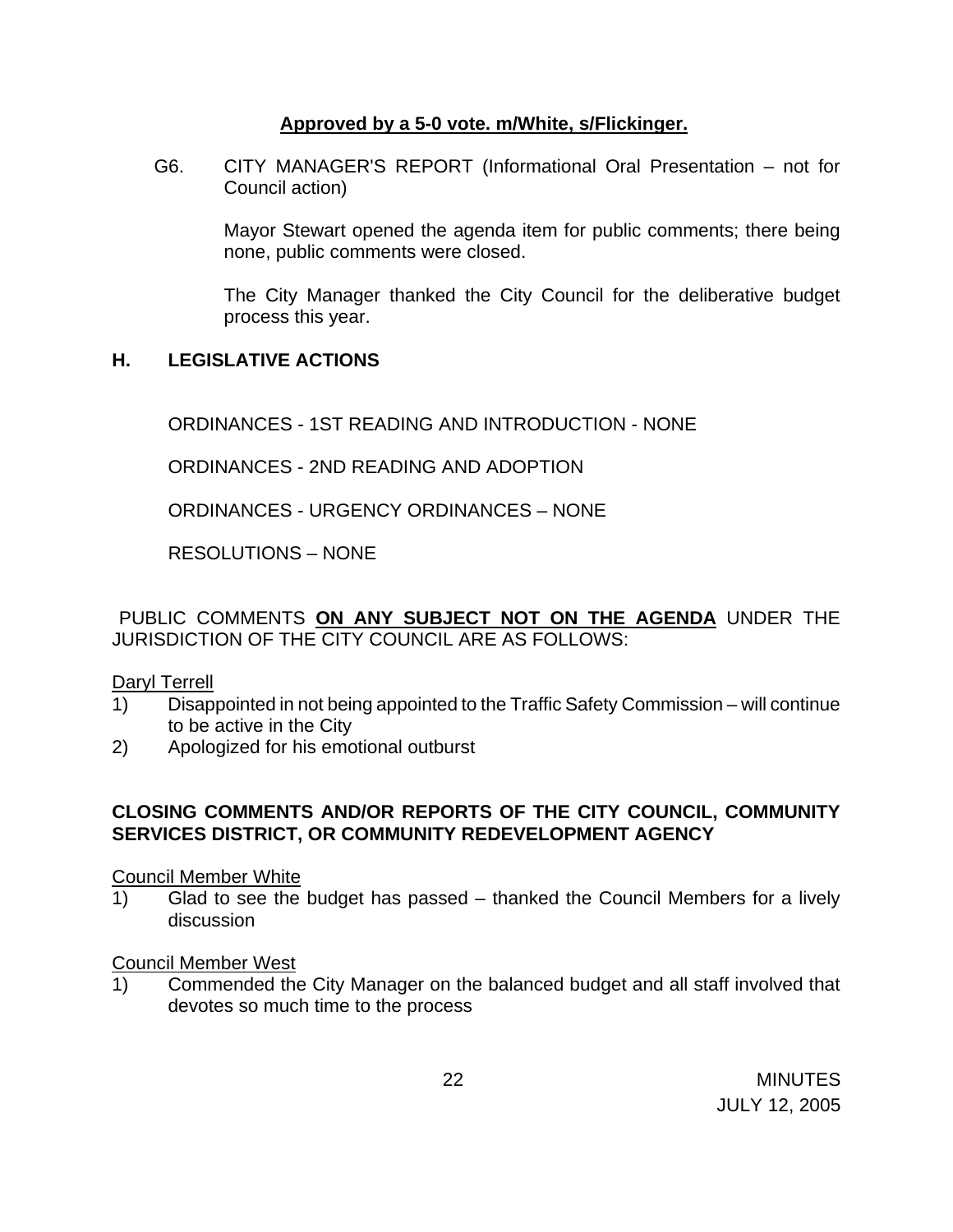### **Approved by a 5-0 vote. m/White, s/Flickinger.**

G6. CITY MANAGER'S REPORT (Informational Oral Presentation – not for Council action)

 Mayor Stewart opened the agenda item for public comments; there being none, public comments were closed.

The City Manager thanked the City Council for the deliberative budget process this year.

# **H. LEGISLATIVE ACTIONS**

ORDINANCES - 1ST READING AND INTRODUCTION - NONE

ORDINANCES - 2ND READING AND ADOPTION

ORDINANCES - URGENCY ORDINANCES – NONE

RESOLUTIONS – NONE

PUBLIC COMMENTS **ON ANY SUBJECT NOT ON THE AGENDA** UNDER THE JURISDICTION OF THE CITY COUNCIL ARE AS FOLLOWS:

Daryl Terrell

- 1) Disappointed in not being appointed to the Traffic Safety Commission will continue to be active in the City
- 2) Apologized for his emotional outburst

### **CLOSING COMMENTS AND/OR REPORTS OF THE CITY COUNCIL, COMMUNITY SERVICES DISTRICT, OR COMMUNITY REDEVELOPMENT AGENCY**

### Council Member White

1) Glad to see the budget has passed – thanked the Council Members for a lively discussion

### Council Member West

1) Commended the City Manager on the balanced budget and all staff involved that devotes so much time to the process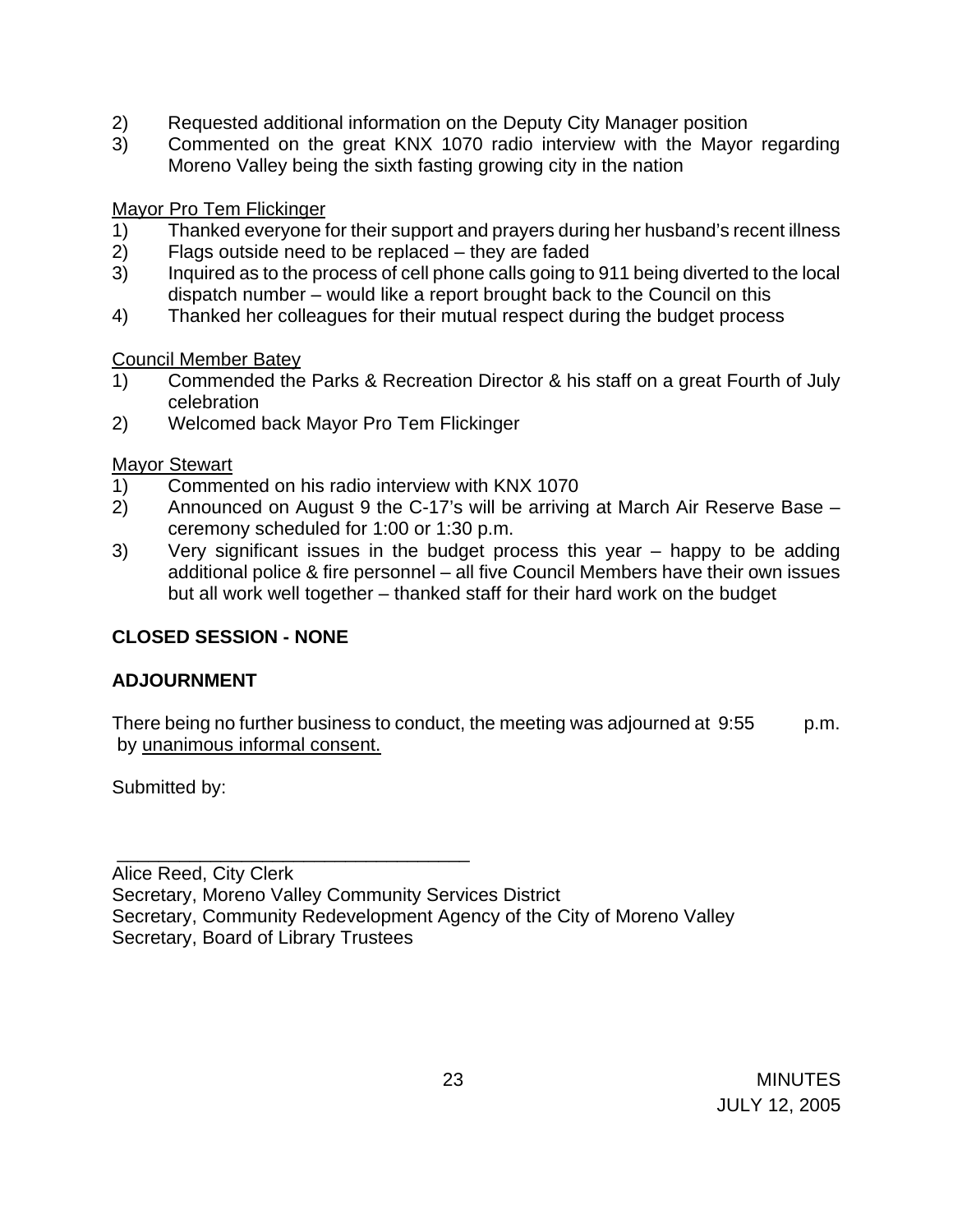- 2) Requested additional information on the Deputy City Manager position
- 3) Commented on the great KNX 1070 radio interview with the Mayor regarding Moreno Valley being the sixth fasting growing city in the nation

Mayor Pro Tem Flickinger

- 1) Thanked everyone for their support and prayers during her husband's recent illness
- 2) Flags outside need to be replaced they are faded
- 3) Inquired as to the process of cell phone calls going to 911 being diverted to the local dispatch number – would like a report brought back to the Council on this
- 4) Thanked her colleagues for their mutual respect during the budget process

Council Member Batey

- 1) Commended the Parks & Recreation Director & his staff on a great Fourth of July celebration
- 2) Welcomed back Mayor Pro Tem Flickinger

### Mayor Stewart

- 1) Commented on his radio interview with KNX 1070
- 2) Announced on August 9 the C-17's will be arriving at March Air Reserve Base ceremony scheduled for 1:00 or 1:30 p.m.
- 3) Very significant issues in the budget process this year happy to be adding additional police & fire personnel – all five Council Members have their own issues but all work well together – thanked staff for their hard work on the budget

# **CLOSED SESSION - NONE**

\_\_\_\_\_\_\_\_\_\_\_\_\_\_\_\_\_\_\_\_\_\_\_\_\_\_\_\_\_\_\_\_\_\_

# **ADJOURNMENT**

There being no further business to conduct, the meeting was adjourned at 9:55 p.m. by unanimous informal consent.

Submitted by:

Alice Reed, City Clerk Secretary, Moreno Valley Community Services District Secretary, Community Redevelopment Agency of the City of Moreno Valley Secretary, Board of Library Trustees